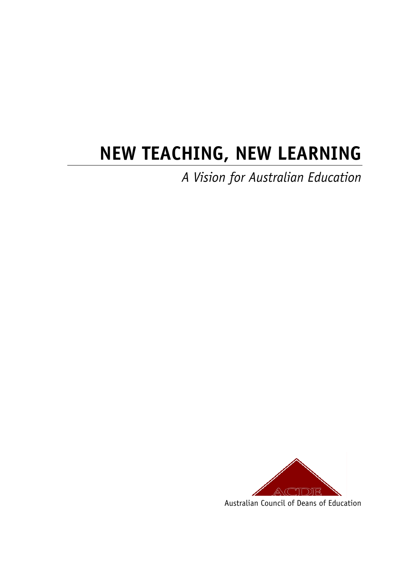# **NEW TEACHING, NEW LEARNING**

*A Vision for Australian Education* 



Australian Council of Deans of Education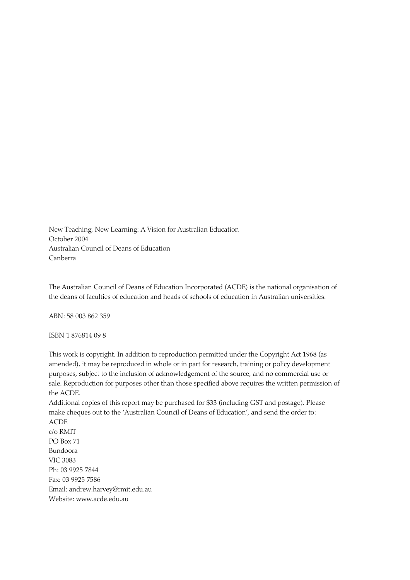New Teaching, New Learning: A Vision for Australian Education October 2004 Australian Council of Deans of Education Canberra

The Australian Council of Deans of Education Incorporated (ACDE) is the national organisation of the deans of faculties of education and heads of schools of education in Australian universities.

ABN: 58 003 862 359

ISBN 1 876814 09 8

This work is copyright. In addition to reproduction permitted under the Copyright Act 1968 (as amended), it may be reproduced in whole or in part for research, training or policy development purposes, subject to the inclusion of acknowledgement of the source, and no commercial use or sale. Reproduction for purposes other than those specified above requires the written permission of the ACDE.

Additional copies of this report may be purchased for \$33 (including GST and postage). Please make cheques out to the 'Australian Council of Deans of Education', and send the order to: ACDE

c/o RMIT PO Box 71 Bundoora VIC 3083 Ph: 03 9925 7844 Fax: 03 9925 7586 Email: andrew.harvey@rmit.edu.au Website: www.acde.edu.au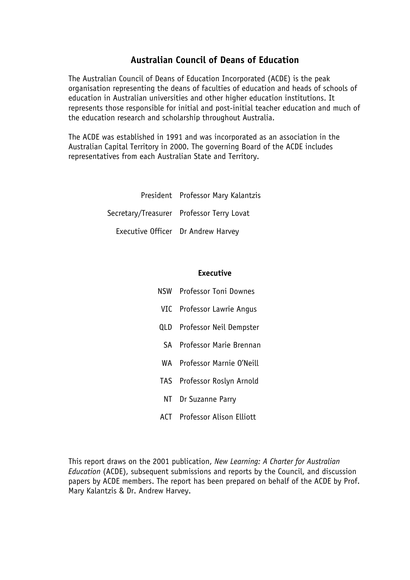#### **Australian Council of Deans of Education**

The Australian Council of Deans of Education Incorporated (ACDE) is the peak organisation representing the deans of faculties of education and heads of schools of education in Australian universities and other higher education institutions. It represents those responsible for initial and post-initial teacher education and much of the education research and scholarship throughout Australia.

The ACDE was established in 1991 and was incorporated as an association in the Australian Capital Territory in 2000. The governing Board of the ACDE includes representatives from each Australian State and Territory.

> President Professor Mary Kalantzis Secretary/Treasurer Professor Terry Lovat Executive Officer Dr Andrew Harvey

#### **Executive**

- NSW Professor Toni Downes
- VIC Professor Lawrie Angus
- QLD Professor Neil Dempster
- SA Professor Marie Brennan
- WA Professor Marnie O'Neill
- TAS Professor Roslyn Arnold
- NT Dr Suzanne Parry
- ACT Professor Alison Elliott

This report draws on the 2001 publication, *New Learning: A Charter for Australian Education* (ACDE), subsequent submissions and reports by the Council, and discussion papers by ACDE members. The report has been prepared on behalf of the ACDE by Prof. Mary Kalantzis & Dr. Andrew Harvey.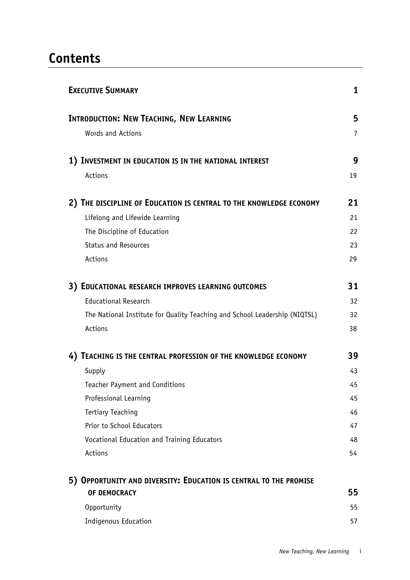### **Contents**

| <b>EXECUTIVE SUMMARY</b>                                                   | 1              |
|----------------------------------------------------------------------------|----------------|
| <b>INTRODUCTION: NEW TEACHING, NEW LEARNING</b>                            | 5              |
| Words and Actions                                                          | $\overline{7}$ |
| 1) INVESTMENT IN EDUCATION IS IN THE NATIONAL INTEREST                     | 9              |
| Actions                                                                    | 19             |
| 2) THE DISCIPLINE OF EDUCATION IS CENTRAL TO THE KNOWLEDGE ECONOMY         | 21             |
| Lifelong and Lifewide Learning                                             | 21             |
| The Discipline of Education                                                | 22             |
| <b>Status and Resources</b>                                                | 23             |
| Actions                                                                    | 29             |
| 3) EDUCATIONAL RESEARCH IMPROVES LEARNING OUTCOMES                         | 31             |
| <b>Educational Research</b>                                                | 32             |
| The National Institute for Quality Teaching and School Leadership (NIQTSL) | 32             |
| Actions                                                                    | 38             |
| 4) TEACHING IS THE CENTRAL PROFESSION OF THE KNOWLEDGE ECONOMY             | 39             |
| Supply                                                                     | 43             |
| Teacher Payment and Conditions                                             | 45             |
| Professional Learning                                                      | 45             |
| <b>Tertiary Teaching</b>                                                   | 46             |
| Prior to School Educators                                                  | 47             |
| Vocational Education and Training Educators                                | 48             |
| Actions                                                                    | 54             |
| 5) OPPORTUNITY AND DIVERSITY: EDUCATION IS CENTRAL TO THE PROMISE          |                |
| OF DEMOCRACY                                                               | 55             |
| Opportunity                                                                | 55             |
| Indigenous Education                                                       | 57             |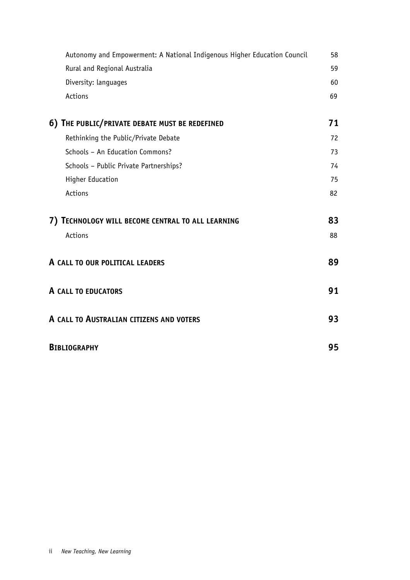| Autonomy and Empowerment: A National Indigenous Higher Education Council | 58 |
|--------------------------------------------------------------------------|----|
| Rural and Regional Australia                                             | 59 |
| Diversity: languages                                                     | 60 |
| Actions                                                                  | 69 |
| 6) THE PUBLIC/PRIVATE DEBATE MUST BE REDEFINED                           | 71 |
| Rethinking the Public/Private Debate                                     | 72 |
| Schools - An Education Commons?                                          | 73 |
| Schools - Public Private Partnerships?                                   | 74 |
| <b>Higher Education</b>                                                  | 75 |
| Actions                                                                  | 82 |
| 7) TECHNOLOGY WILL BECOME CENTRAL TO ALL LEARNING                        | 83 |
| Actions                                                                  | 88 |
| A CALL TO OUR POLITICAL LEADERS                                          | 89 |
| A CALL TO EDUCATORS                                                      | 91 |
| A CALL TO AUSTRALIAN CITIZENS AND VOTERS                                 | 93 |
| <b>BIBLIOGRAPHY</b>                                                      | 95 |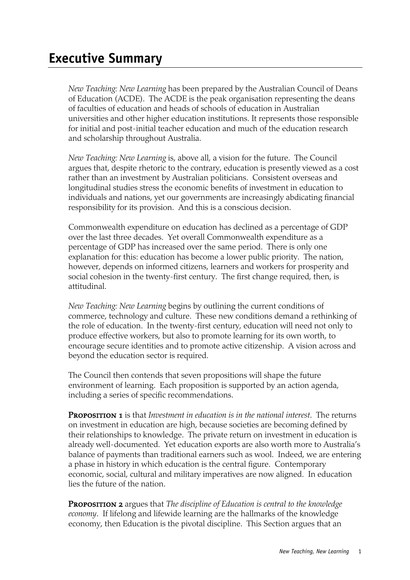*New Teaching: New Learning* has been prepared by the Australian Council of Deans of Education (ACDE). The ACDE is the peak organisation representing the deans of faculties of education and heads of schools of education in Australian universities and other higher education institutions. It represents those responsible for initial and post-initial teacher education and much of the education research and scholarship throughout Australia.

*New Teaching: New Learning* is, above all, a vision for the future. The Council argues that, despite rhetoric to the contrary, education is presently viewed as a cost rather than an investment by Australian politicians. Consistent overseas and longitudinal studies stress the economic benefits of investment in education to individuals and nations, yet our governments are increasingly abdicating financial responsibility for its provision. And this is a conscious decision.

Commonwealth expenditure on education has declined as a percentage of GDP over the last three decades. Yet overall Commonwealth expenditure as a percentage of GDP has increased over the same period. There is only one explanation for this: education has become a lower public priority. The nation, however, depends on informed citizens, learners and workers for prosperity and social cohesion in the twenty-first century. The first change required, then, is attitudinal.

*New Teaching: New Learning* begins by outlining the current conditions of commerce, technology and culture. These new conditions demand a rethinking of the role of education. In the twenty-first century, education will need not only to produce effective workers, but also to promote learning for its own worth, to encourage secure identities and to promote active citizenship. A vision across and beyond the education sector is required.

The Council then contends that seven propositions will shape the future environment of learning. Each proposition is supported by an action agenda, including a series of specific recommendations.

Proposition 1 is that *Investment in education is in the national interest*. The returns on investment in education are high, because societies are becoming defined by their relationships to knowledge. The private return on investment in education is already well-documented. Yet education exports are also worth more to Australia's balance of payments than traditional earners such as wool. Indeed, we are entering a phase in history in which education is the central figure. Contemporary economic, social, cultural and military imperatives are now aligned. In education lies the future of the nation.

**PROPOSITION 2** argues that *The discipline of Education is central to the knowledge economy*. If lifelong and lifewide learning are the hallmarks of the knowledge economy, then Education is the pivotal discipline. This Section argues that an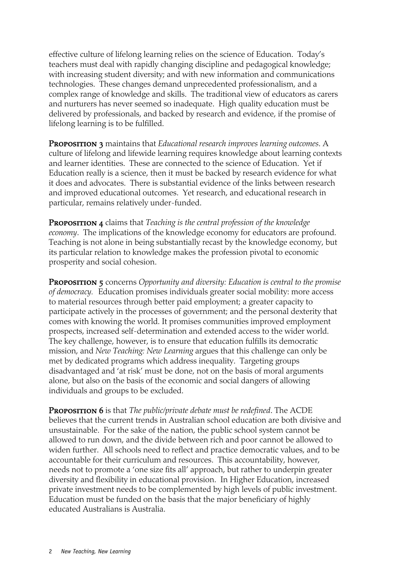effective culture of lifelong learning relies on the science of Education. Today's teachers must deal with rapidly changing discipline and pedagogical knowledge; with increasing student diversity; and with new information and communications technologies. These changes demand unprecedented professionalism, and a complex range of knowledge and skills. The traditional view of educators as carers and nurturers has never seemed so inadequate. High quality education must be delivered by professionals, and backed by research and evidence, if the promise of lifelong learning is to be fulfilled.

**PROPOSITION 3** maintains that *Educational research improves learning outcomes*. A culture of lifelong and lifewide learning requires knowledge about learning contexts and learner identities. These are connected to the science of Education. Yet if Education really is a science, then it must be backed by research evidence for what it does and advocates. There is substantial evidence of the links between research and improved educational outcomes. Yet research, and educational research in particular, remains relatively under-funded.

Proposition 4 claims that *Teaching is the central profession of the knowledge economy*. The implications of the knowledge economy for educators are profound. Teaching is not alone in being substantially recast by the knowledge economy, but its particular relation to knowledge makes the profession pivotal to economic prosperity and social cohesion.

**PROPOSITION 5** concerns *Opportunity and diversity: Education is central to the promise of democracy.* Education promises individuals greater social mobility: more access to material resources through better paid employment; a greater capacity to participate actively in the processes of government; and the personal dexterity that comes with knowing the world. It promises communities improved employment prospects, increased self-determination and extended access to the wider world. The key challenge, however, is to ensure that education fulfills its democratic mission, and *New Teaching: New Learning* argues that this challenge can only be met by dedicated programs which address inequality. Targeting groups disadvantaged and 'at risk' must be done, not on the basis of moral arguments alone, but also on the basis of the economic and social dangers of allowing individuals and groups to be excluded.

Proposition 6 is that *The public/private debate must be redefined*. The ACDE believes that the current trends in Australian school education are both divisive and unsustainable. For the sake of the nation, the public school system cannot be allowed to run down, and the divide between rich and poor cannot be allowed to widen further. All schools need to reflect and practice democratic values, and to be accountable for their curriculum and resources. This accountability, however, needs not to promote a 'one size fits all' approach, but rather to underpin greater diversity and flexibility in educational provision. In Higher Education, increased private investment needs to be complemented by high levels of public investment. Education must be funded on the basis that the major beneficiary of highly educated Australians is Australia.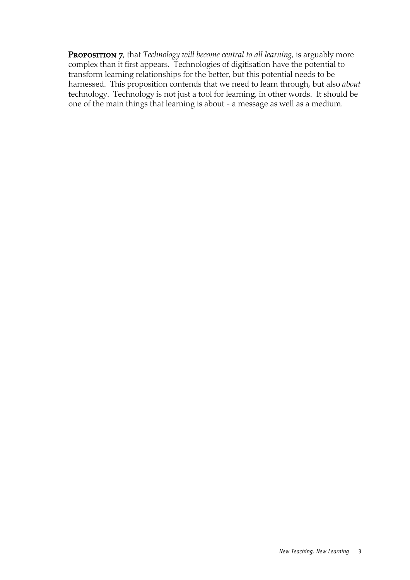**PROPOSITION 7**, that *Technology will become central to all learning*, is arguably more complex than it first appears. Technologies of digitisation have the potential to transform learning relationships for the better, but this potential needs to be harnessed. This proposition contends that we need to learn through, but also *about* technology. Technology is not just a tool for learning, in other words. It should be one of the main things that learning is about - a message as well as a medium.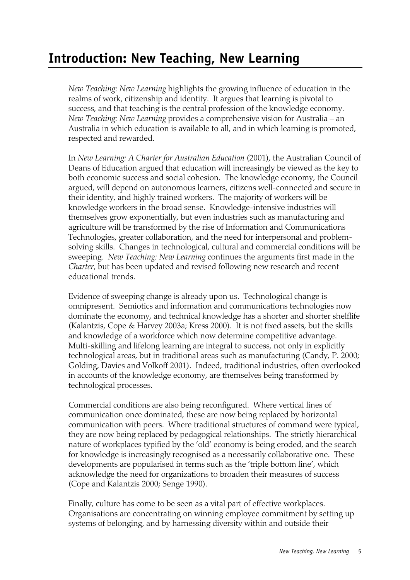### **Introduction: New Teaching, New Learning**

*New Teaching: New Learning* highlights the growing influence of education in the realms of work, citizenship and identity. It argues that learning is pivotal to success, and that teaching is the central profession of the knowledge economy. *New Teaching: New Learning* provides a comprehensive vision for Australia – an Australia in which education is available to all, and in which learning is promoted, respected and rewarded.

In *New Learning: A Charter for Australian Education* (2001), the Australian Council of Deans of Education argued that education will increasingly be viewed as the key to both economic success and social cohesion. The knowledge economy, the Council argued, will depend on autonomous learners, citizens well-connected and secure in their identity, and highly trained workers. The majority of workers will be knowledge workers in the broad sense. Knowledge-intensive industries will themselves grow exponentially, but even industries such as manufacturing and agriculture will be transformed by the rise of Information and Communications Technologies, greater collaboration, and the need for interpersonal and problemsolving skills. Changes in technological, cultural and commercial conditions will be sweeping. *New Teaching: New Learning* continues the arguments first made in the *Charter*, but has been updated and revised following new research and recent educational trends.

Evidence of sweeping change is already upon us. Technological change is omnipresent. Semiotics and information and communications technologies now dominate the economy, and technical knowledge has a shorter and shorter shelflife (Kalantzis, Cope & Harvey 2003a; Kress 2000). It is not fixed assets, but the skills and knowledge of a workforce which now determine competitive advantage. Multi-skilling and lifelong learning are integral to success, not only in explicitly technological areas, but in traditional areas such as manufacturing (Candy, P. 2000; Golding, Davies and Volkoff 2001). Indeed, traditional industries, often overlooked in accounts of the knowledge economy, are themselves being transformed by technological processes.

Commercial conditions are also being reconfigured. Where vertical lines of communication once dominated, these are now being replaced by horizontal communication with peers. Where traditional structures of command were typical, they are now being replaced by pedagogical relationships. The strictly hierarchical nature of workplaces typified by the 'old' economy is being eroded, and the search for knowledge is increasingly recognised as a necessarily collaborative one. These developments are popularised in terms such as the 'triple bottom line', which acknowledge the need for organizations to broaden their measures of success (Cope and Kalantzis 2000; Senge 1990).

Finally, culture has come to be seen as a vital part of effective workplaces. Organisations are concentrating on winning employee commitment by setting up systems of belonging, and by harnessing diversity within and outside their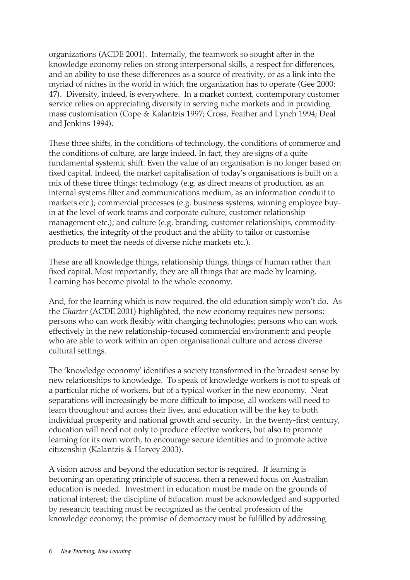organizations (ACDE 2001). Internally, the teamwork so sought after in the knowledge economy relies on strong interpersonal skills, a respect for differences, and an ability to use these differences as a source of creativity, or as a link into the myriad of niches in the world in which the organization has to operate (Gee 2000: 47). Diversity, indeed, is everywhere. In a market context, contemporary customer service relies on appreciating diversity in serving niche markets and in providing mass customisation (Cope & Kalantzis 1997; Cross, Feather and Lynch 1994; Deal and Jenkins 1994).

These three shifts, in the conditions of technology, the conditions of commerce and the conditions of culture, are large indeed. In fact, they are signs of a quite fundamental systemic shift. Even the value of an organisation is no longer based on fixed capital. Indeed, the market capitalisation of today's organisations is built on a mix of these three things: technology (e.g. as direct means of production, as an internal systems filter and communications medium, as an information conduit to markets etc.); commercial processes (e.g. business systems, winning employee buyin at the level of work teams and corporate culture, customer relationship management etc.); and culture (e.g. branding, customer relationships, commodityaesthetics, the integrity of the product and the ability to tailor or customise products to meet the needs of diverse niche markets etc.).

These are all knowledge things, relationship things, things of human rather than fixed capital. Most importantly, they are all things that are made by learning. Learning has become pivotal to the whole economy.

And, for the learning which is now required, the old education simply won't do. As the *Charter* (ACDE 2001) highlighted, the new economy requires new persons: persons who can work flexibly with changing technologies; persons who can work effectively in the new relationship-focused commercial environment; and people who are able to work within an open organisational culture and across diverse cultural settings.

The 'knowledge economy' identifies a society transformed in the broadest sense by new relationships to knowledge. To speak of knowledge workers is not to speak of a particular niche of workers, but of a typical worker in the new economy. Neat separations will increasingly be more difficult to impose, all workers will need to learn throughout and across their lives, and education will be the key to both individual prosperity and national growth and security. In the twenty-first century, education will need not only to produce effective workers, but also to promote learning for its own worth, to encourage secure identities and to promote active citizenship (Kalantzis & Harvey 2003).

A vision across and beyond the education sector is required. If learning is becoming an operating principle of success, then a renewed focus on Australian education is needed. Investment in education must be made on the grounds of national interest; the discipline of Education must be acknowledged and supported by research; teaching must be recognized as the central profession of the knowledge economy; the promise of democracy must be fulfilled by addressing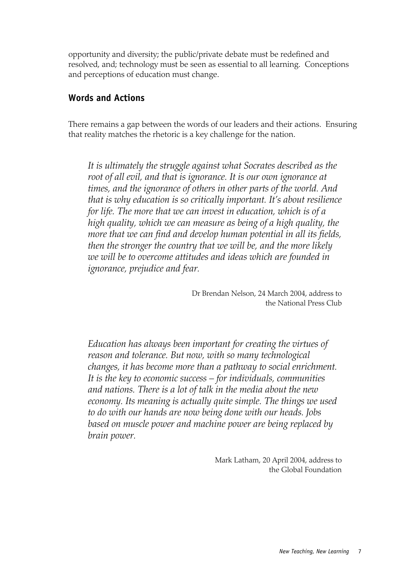opportunity and diversity; the public/private debate must be redefined and resolved, and; technology must be seen as essential to all learning. Conceptions and perceptions of education must change.

#### **Words and Actions**

There remains a gap between the words of our leaders and their actions. Ensuring that reality matches the rhetoric is a key challenge for the nation.

*It is ultimately the struggle against what Socrates described as the root of all evil, and that is ignorance. It is our own ignorance at times, and the ignorance of others in other parts of the world. And that is why education is so critically important. It's about resilience for life. The more that we can invest in education, which is of a high quality, which we can measure as being of a high quality, the more that we can find and develop human potential in all its fields, then the stronger the country that we will be, and the more likely we will be to overcome attitudes and ideas which are founded in ignorance, prejudice and fear.* 

> Dr Brendan Nelson, 24 March 2004, address to the National Press Club

*Education has always been important for creating the virtues of reason and tolerance. But now, with so many technological changes, it has become more than a pathway to social enrichment. It is the key to economic success – for individuals, communities and nations. There is a lot of talk in the media about the new economy. Its meaning is actually quite simple. The things we used to do with our hands are now being done with our heads. Jobs based on muscle power and machine power are being replaced by brain power.*

> Mark Latham, 20 April 2004, address to the Global Foundation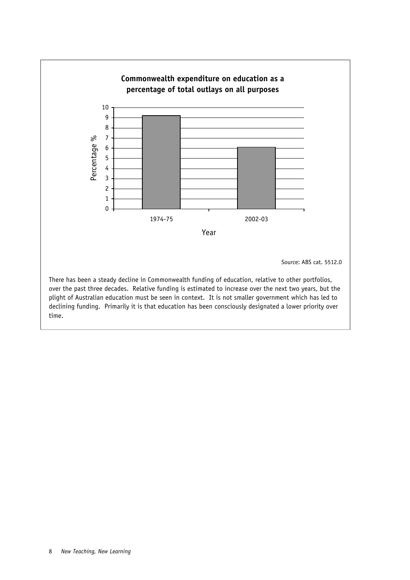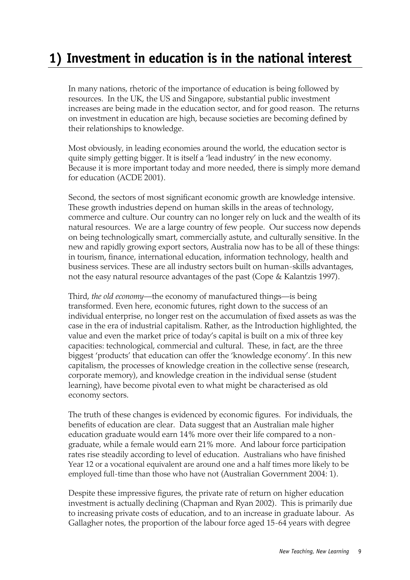## **1) Investment in education is in the national interest**

In many nations, rhetoric of the importance of education is being followed by resources. In the UK, the US and Singapore, substantial public investment increases are being made in the education sector, and for good reason. The returns on investment in education are high, because societies are becoming defined by their relationships to knowledge.

Most obviously, in leading economies around the world, the education sector is quite simply getting bigger. It is itself a 'lead industry' in the new economy. Because it is more important today and more needed, there is simply more demand for education (ACDE 2001).

Second, the sectors of most significant economic growth are knowledge intensive. These growth industries depend on human skills in the areas of technology, commerce and culture. Our country can no longer rely on luck and the wealth of its natural resources. We are a large country of few people. Our success now depends on being technologically smart, commercially astute, and culturally sensitive. In the new and rapidly growing export sectors, Australia now has to be all of these things: in tourism, finance, international education, information technology, health and business services. These are all industry sectors built on human-skills advantages, not the easy natural resource advantages of the past (Cope & Kalantzis 1997).

Third, *the old economy*—the economy of manufactured things—is being transformed. Even here, economic futures, right down to the success of an individual enterprise, no longer rest on the accumulation of fixed assets as was the case in the era of industrial capitalism. Rather, as the Introduction highlighted, the value and even the market price of today's capital is built on a mix of three key capacities: technological, commercial and cultural. These, in fact, are the three biggest 'products' that education can offer the 'knowledge economy'. In this new capitalism, the processes of knowledge creation in the collective sense (research, corporate memory), and knowledge creation in the individual sense (student learning), have become pivotal even to what might be characterised as old economy sectors.

The truth of these changes is evidenced by economic figures. For individuals, the benefits of education are clear. Data suggest that an Australian male higher education graduate would earn 14% more over their life compared to a nongraduate, while a female would earn 21% more. And labour force participation rates rise steadily according to level of education. Australians who have finished Year 12 or a vocational equivalent are around one and a half times more likely to be employed full-time than those who have not (Australian Government 2004: 1).

Despite these impressive figures, the private rate of return on higher education investment is actually declining (Chapman and Ryan 2002). This is primarily due to increasing private costs of education, and to an increase in graduate labour. As Gallagher notes, the proportion of the labour force aged 15-64 years with degree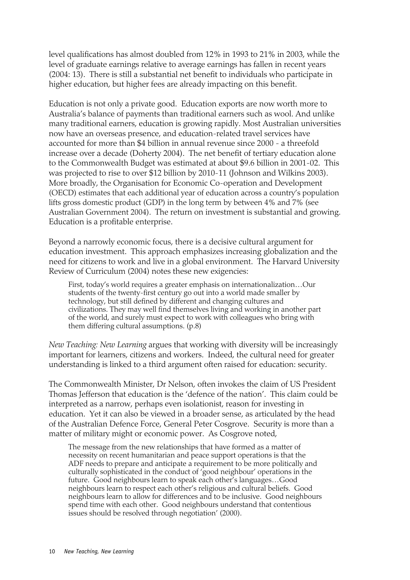level qualifications has almost doubled from 12% in 1993 to 21% in 2003, while the level of graduate earnings relative to average earnings has fallen in recent years (2004: 13). There is still a substantial net benefit to individuals who participate in higher education, but higher fees are already impacting on this benefit.

Education is not only a private good. Education exports are now worth more to Australia's balance of payments than traditional earners such as wool. And unlike many traditional earners, education is growing rapidly. Most Australian universities now have an overseas presence, and education-related travel services have accounted for more than \$4 billion in annual revenue since 2000 - a threefold increase over a decade (Doherty 2004). The net benefit of tertiary education alone to the Commonwealth Budget was estimated at about \$9.6 billion in 2001-02. This was projected to rise to over \$12 billion by 2010-11 (Johnson and Wilkins 2003). More broadly, the Organisation for Economic Co-operation and Development (OECD) estimates that each additional year of education across a country's population lifts gross domestic product (GDP) in the long term by between 4% and 7% (see Australian Government 2004). The return on investment is substantial and growing. Education is a profitable enterprise.

Beyond a narrowly economic focus, there is a decisive cultural argument for education investment. This approach emphasizes increasing globalization and the need for citizens to work and live in a global environment. The Harvard University Review of Curriculum (2004) notes these new exigencies:

First, today's world requires a greater emphasis on internationalization…Our students of the twenty-first century go out into a world made smaller by technology, but still defined by different and changing cultures and civilizations. They may well find themselves living and working in another part of the world, and surely must expect to work with colleagues who bring with them differing cultural assumptions. (p.8)

*New Teaching: New Learning* argues that working with diversity will be increasingly important for learners, citizens and workers. Indeed, the cultural need for greater understanding is linked to a third argument often raised for education: security.

The Commonwealth Minister, Dr Nelson, often invokes the claim of US President Thomas Jefferson that education is the 'defence of the nation'. This claim could be interpreted as a narrow, perhaps even isolationist, reason for investing in education. Yet it can also be viewed in a broader sense, as articulated by the head of the Australian Defence Force, General Peter Cosgrove. Security is more than a matter of military might or economic power. As Cosgrove noted,

The message from the new relationships that have formed as a matter of necessity on recent humanitarian and peace support operations is that the ADF needs to prepare and anticipate a requirement to be more politically and culturally sophisticated in the conduct of 'good neighbour' operations in the future. Good neighbours learn to speak each other's languages…Good neighbours learn to respect each other's religious and cultural beliefs. Good neighbours learn to allow for differences and to be inclusive. Good neighbours spend time with each other. Good neighbours understand that contentious issues should be resolved through negotiation' (2000).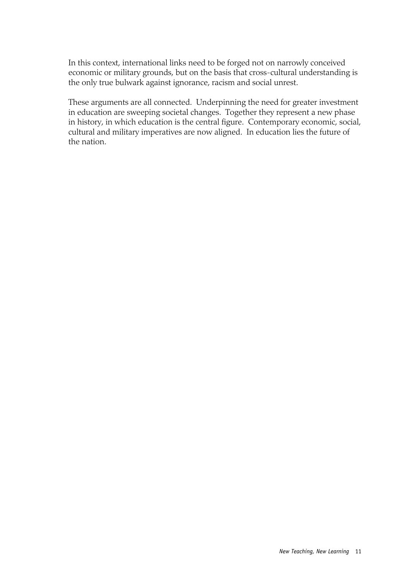In this context, international links need to be forged not on narrowly conceived economic or military grounds, but on the basis that cross-cultural understanding is the only true bulwark against ignorance, racism and social unrest.

These arguments are all connected. Underpinning the need for greater investment in education are sweeping societal changes. Together they represent a new phase in history, in which education is the central figure. Contemporary economic, social, cultural and military imperatives are now aligned. In education lies the future of the nation.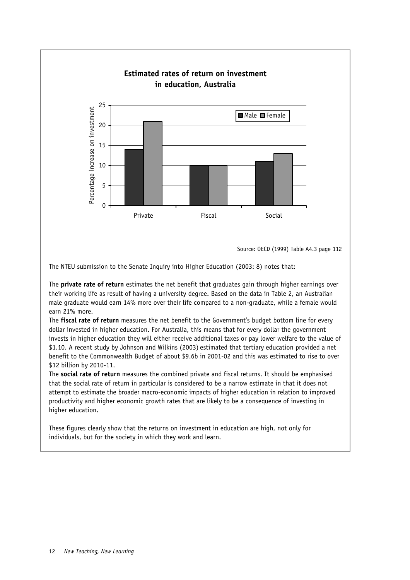

Source: OECD (1999) Table A4.3 page 112

The NTEU submission to the Senate Inquiry into Higher Education (2003: 8) notes that:

The **private rate of return** estimates the net benefit that graduates gain through higher earnings over their working life as result of having a university degree. Based on the data in Table 2, an Australian male graduate would earn 14% more over their life compared to a non-graduate, while a female would earn 21% more.

The **fiscal rate of return** measures the net benefit to the Government's budget bottom line for every dollar invested in higher education. For Australia, this means that for every dollar the government invests in higher education they will either receive additional taxes or pay lower welfare to the value of \$1.10. A recent study by Johnson and Wilkins (2003) estimated that tertiary education provided a net benefit to the Commonwealth Budget of about \$9.6b in 2001-02 and this was estimated to rise to over \$12 billion by 2010-11.

The **social rate of return** measures the combined private and fiscal returns. It should be emphasised that the social rate of return in particular is considered to be a narrow estimate in that it does not attempt to estimate the broader macro-economic impacts of higher education in relation to improved productivity and higher economic growth rates that are likely to be a consequence of investing in higher education.

These figures clearly show that the returns on investment in education are high, not only for individuals, but for the society in which they work and learn.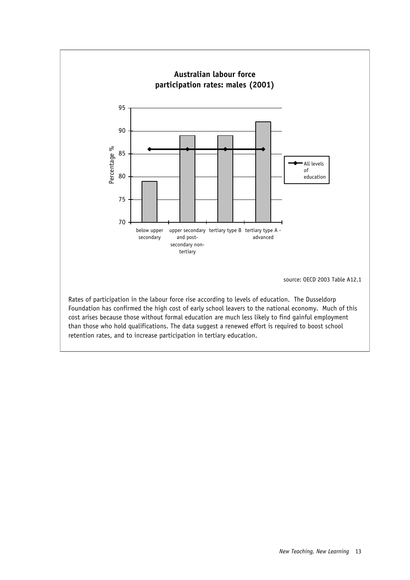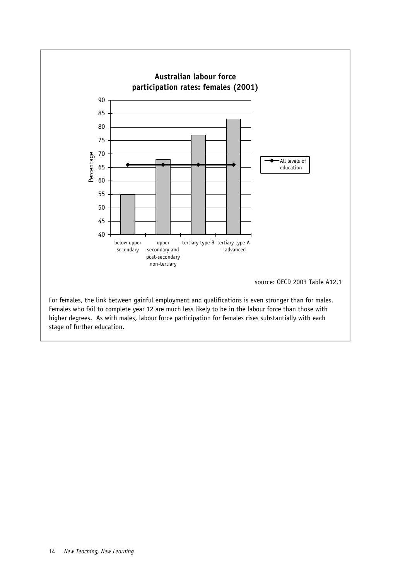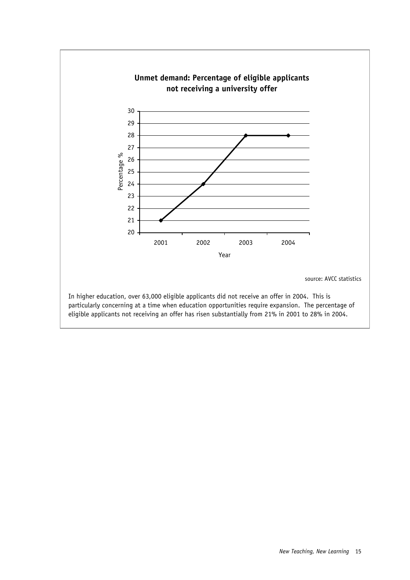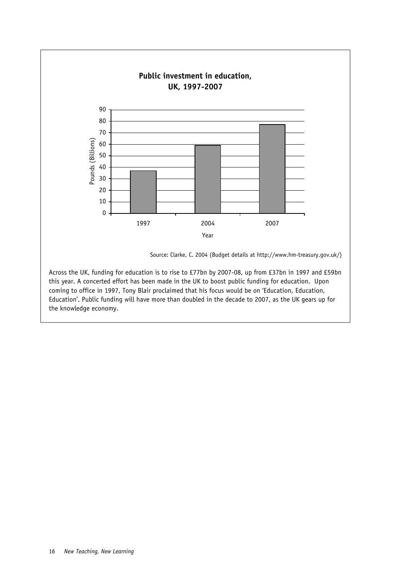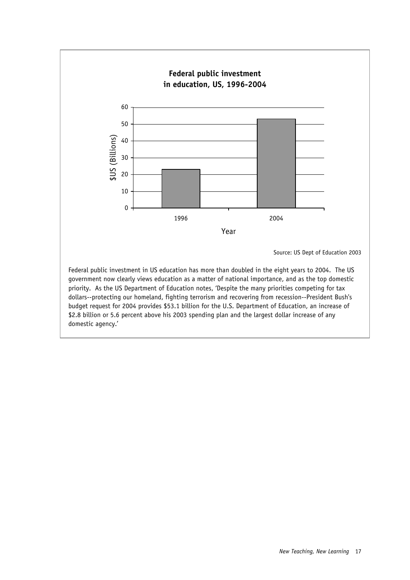

priority. As the US Department of Education notes, 'Despite the many priorities competing for tax dollars--protecting our homeland, fighting terrorism and recovering from recession--President Bush's budget request for 2004 provides \$53.1 billion for the U.S. Department of Education, an increase of \$2.8 billion or 5.6 percent above his 2003 spending plan and the largest dollar increase of any domestic agency.'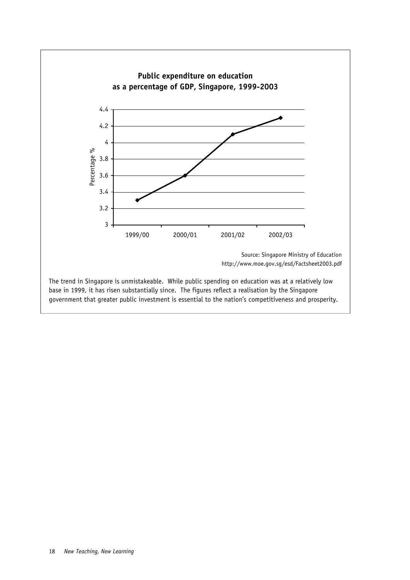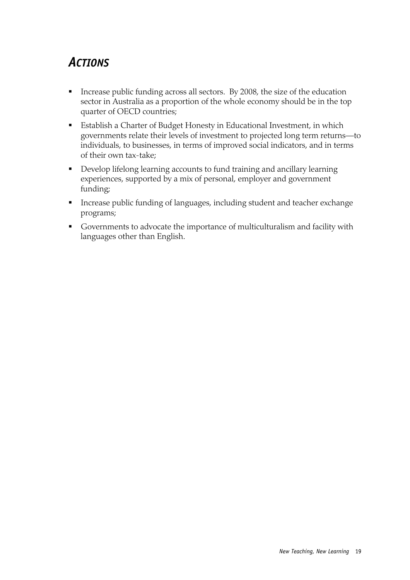### *ACTIONS*

- Increase public funding across all sectors. By 2008, the size of the education sector in Australia as a proportion of the whole economy should be in the top quarter of OECD countries;
- Establish a Charter of Budget Honesty in Educational Investment, in which governments relate their levels of investment to projected long term returns—to individuals, to businesses, in terms of improved social indicators, and in terms of their own tax-take;
- **Develop lifelong learning accounts to fund training and ancillary learning** experiences, supported by a mix of personal, employer and government funding;
- Increase public funding of languages, including student and teacher exchange programs;
- Governments to advocate the importance of multiculturalism and facility with languages other than English.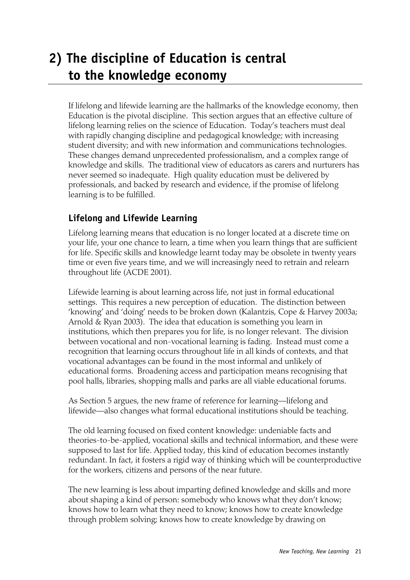### **2) The discipline of Education is central to the knowledge economy**

If lifelong and lifewide learning are the hallmarks of the knowledge economy, then Education is the pivotal discipline. This section argues that an effective culture of lifelong learning relies on the science of Education. Today's teachers must deal with rapidly changing discipline and pedagogical knowledge; with increasing student diversity; and with new information and communications technologies. These changes demand unprecedented professionalism, and a complex range of knowledge and skills. The traditional view of educators as carers and nurturers has never seemed so inadequate. High quality education must be delivered by professionals, and backed by research and evidence, if the promise of lifelong learning is to be fulfilled.

#### **Lifelong and Lifewide Learning**

Lifelong learning means that education is no longer located at a discrete time on your life, your one chance to learn, a time when you learn things that are sufficient for life. Specific skills and knowledge learnt today may be obsolete in twenty years time or even five years time, and we will increasingly need to retrain and relearn throughout life (ACDE 2001).

Lifewide learning is about learning across life, not just in formal educational settings. This requires a new perception of education. The distinction between 'knowing' and 'doing' needs to be broken down (Kalantzis, Cope & Harvey 2003a; Arnold & Ryan 2003). The idea that education is something you learn in institutions, which then prepares you for life, is no longer relevant. The division between vocational and non-vocational learning is fading. Instead must come a recognition that learning occurs throughout life in all kinds of contexts, and that vocational advantages can be found in the most informal and unlikely of educational forms. Broadening access and participation means recognising that pool halls, libraries, shopping malls and parks are all viable educational forums.

As Section 5 argues, the new frame of reference for learning—lifelong and lifewide—also changes what formal educational institutions should be teaching.

The old learning focused on fixed content knowledge: undeniable facts and theories-to-be-applied, vocational skills and technical information, and these were supposed to last for life. Applied today, this kind of education becomes instantly redundant. In fact, it fosters a rigid way of thinking which will be counterproductive for the workers, citizens and persons of the near future.

The new learning is less about imparting defined knowledge and skills and more about shaping a kind of person: somebody who knows what they don't know; knows how to learn what they need to know; knows how to create knowledge through problem solving; knows how to create knowledge by drawing on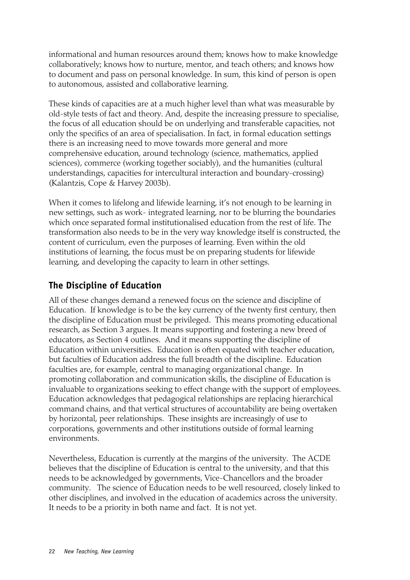informational and human resources around them; knows how to make knowledge collaboratively; knows how to nurture, mentor, and teach others; and knows how to document and pass on personal knowledge. In sum, this kind of person is open to autonomous, assisted and collaborative learning.

These kinds of capacities are at a much higher level than what was measurable by old-style tests of fact and theory. And, despite the increasing pressure to specialise, the focus of all education should be on underlying and transferable capacities, not only the specifics of an area of specialisation. In fact, in formal education settings there is an increasing need to move towards more general and more comprehensive education, around technology (science, mathematics, applied sciences), commerce (working together sociably), and the humanities (cultural understandings, capacities for intercultural interaction and boundary-crossing) (Kalantzis, Cope & Harvey 2003b).

When it comes to lifelong and lifewide learning, it's not enough to be learning in new settings, such as work- integrated learning, nor to be blurring the boundaries which once separated formal institutionalised education from the rest of life. The transformation also needs to be in the very way knowledge itself is constructed, the content of curriculum, even the purposes of learning. Even within the old institutions of learning, the focus must be on preparing students for lifewide learning, and developing the capacity to learn in other settings.

#### **The Discipline of Education**

All of these changes demand a renewed focus on the science and discipline of Education. If knowledge is to be the key currency of the twenty first century, then the discipline of Education must be privileged. This means promoting educational research, as Section 3 argues. It means supporting and fostering a new breed of educators, as Section 4 outlines. And it means supporting the discipline of Education within universities. Education is often equated with teacher education, but faculties of Education address the full breadth of the discipline. Education faculties are, for example, central to managing organizational change. In promoting collaboration and communication skills, the discipline of Education is invaluable to organizations seeking to effect change with the support of employees. Education acknowledges that pedagogical relationships are replacing hierarchical command chains, and that vertical structures of accountability are being overtaken by horizontal, peer relationships. These insights are increasingly of use to corporations, governments and other institutions outside of formal learning environments.

Nevertheless, Education is currently at the margins of the university. The ACDE believes that the discipline of Education is central to the university, and that this needs to be acknowledged by governments, Vice-Chancellors and the broader community. The science of Education needs to be well resourced, closely linked to other disciplines, and involved in the education of academics across the university. It needs to be a priority in both name and fact. It is not yet.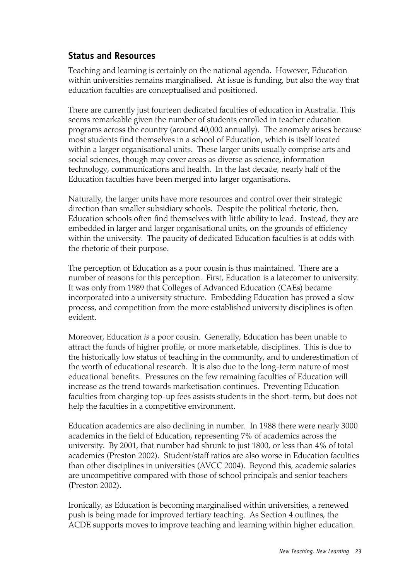#### **Status and Resources**

Teaching and learning is certainly on the national agenda. However, Education within universities remains marginalised. At issue is funding, but also the way that education faculties are conceptualised and positioned.

There are currently just fourteen dedicated faculties of education in Australia. This seems remarkable given the number of students enrolled in teacher education programs across the country (around 40,000 annually). The anomaly arises because most students find themselves in a school of Education, which is itself located within a larger organisational units. These larger units usually comprise arts and social sciences, though may cover areas as diverse as science, information technology, communications and health. In the last decade, nearly half of the Education faculties have been merged into larger organisations.

Naturally, the larger units have more resources and control over their strategic direction than smaller subsidiary schools. Despite the political rhetoric, then, Education schools often find themselves with little ability to lead. Instead, they are embedded in larger and larger organisational units, on the grounds of efficiency within the university. The paucity of dedicated Education faculties is at odds with the rhetoric of their purpose.

The perception of Education as a poor cousin is thus maintained. There are a number of reasons for this perception. First, Education is a latecomer to university. It was only from 1989 that Colleges of Advanced Education (CAEs) became incorporated into a university structure. Embedding Education has proved a slow process, and competition from the more established university disciplines is often evident.

Moreover, Education *is* a poor cousin. Generally, Education has been unable to attract the funds of higher profile, or more marketable, disciplines. This is due to the historically low status of teaching in the community, and to underestimation of the worth of educational research. It is also due to the long-term nature of most educational benefits. Pressures on the few remaining faculties of Education will increase as the trend towards marketisation continues. Preventing Education faculties from charging top-up fees assists students in the short-term, but does not help the faculties in a competitive environment.

Education academics are also declining in number. In 1988 there were nearly 3000 academics in the field of Education, representing 7% of academics across the university. By 2001, that number had shrunk to just 1800, or less than 4% of total academics (Preston 2002). Student/staff ratios are also worse in Education faculties than other disciplines in universities (AVCC 2004). Beyond this, academic salaries are uncompetitive compared with those of school principals and senior teachers (Preston 2002).

Ironically, as Education is becoming marginalised within universities, a renewed push is being made for improved tertiary teaching. As Section 4 outlines, the ACDE supports moves to improve teaching and learning within higher education.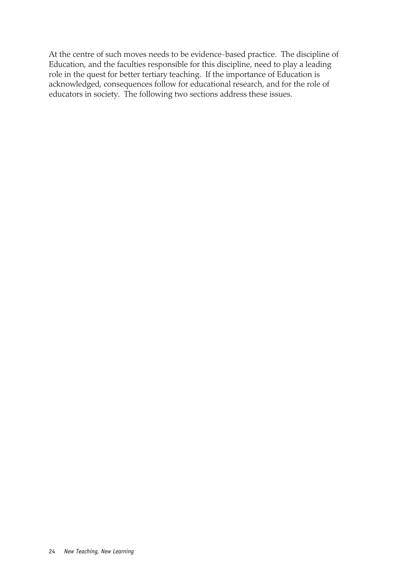At the centre of such moves needs to be evidence-based practice. The discipline of Education, and the faculties responsible for this discipline, need to play a leading role in the quest for better tertiary teaching. If the importance of Education is acknowledged, consequences follow for educational research, and for the role of educators in society. The following two sections address these issues.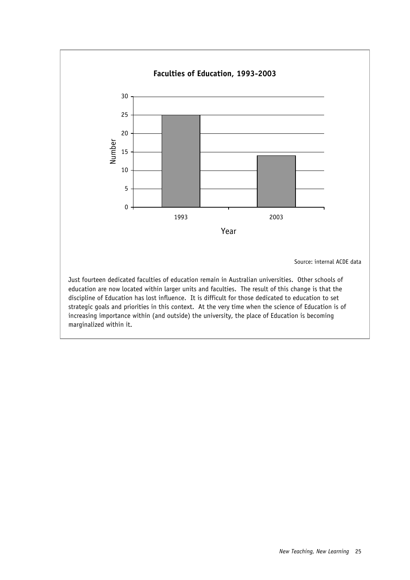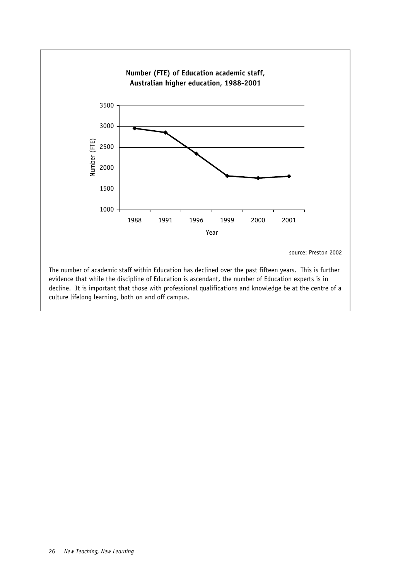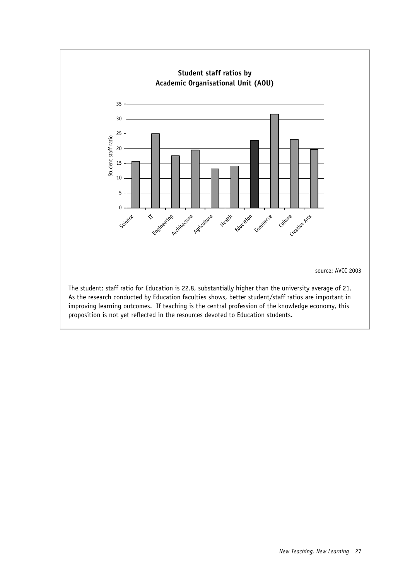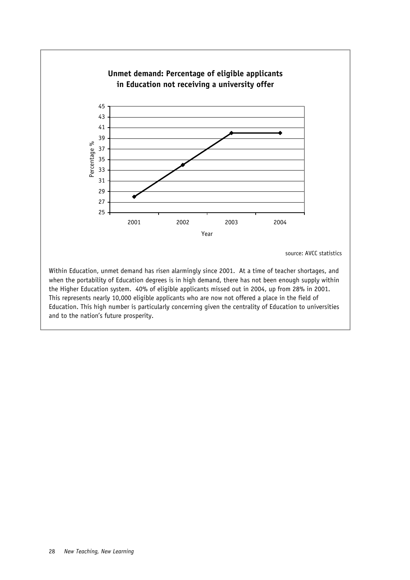

when the portability of Education degrees is in high demand, there has not been enough supply within the Higher Education system. 40% of eligible applicants missed out in 2004, up from 28% in 2001. This represents nearly 10,000 eligible applicants who are now not offered a place in the field of Education. This high number is particularly concerning given the centrality of Education to universities and to the nation's future prosperity.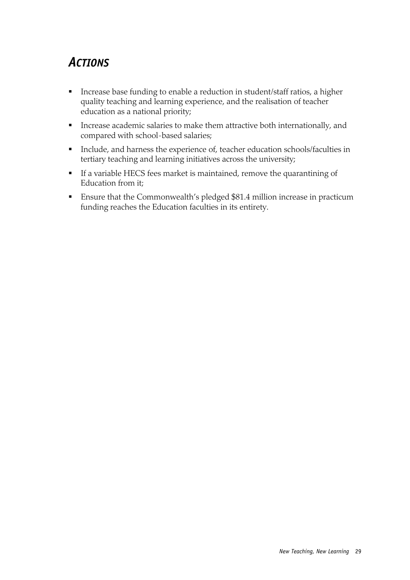### *ACTIONS*

- **Increase base funding to enable a reduction in student/staff ratios, a higher** quality teaching and learning experience, and the realisation of teacher education as a national priority;
- **Increase academic salaries to make them attractive both internationally, and** compared with school-based salaries;
- Include, and harness the experience of, teacher education schools/faculties in tertiary teaching and learning initiatives across the university;
- If a variable HECS fees market is maintained, remove the quarantining of Education from it;
- Ensure that the Commonwealth's pledged \$81.4 million increase in practicum funding reaches the Education faculties in its entirety.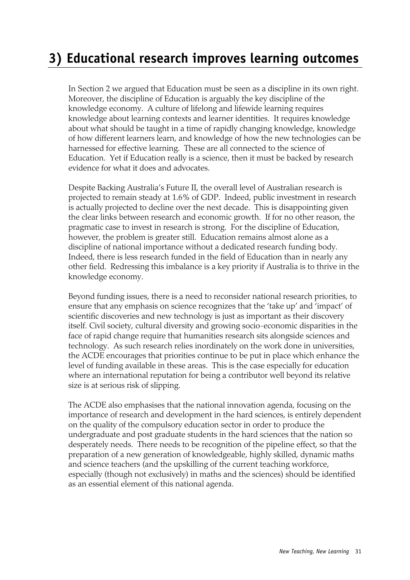# **3) Educational research improves learning outcomes**

In Section 2 we argued that Education must be seen as a discipline in its own right. Moreover, the discipline of Education is arguably the key discipline of the knowledge economy. A culture of lifelong and lifewide learning requires knowledge about learning contexts and learner identities. It requires knowledge about what should be taught in a time of rapidly changing knowledge, knowledge of how different learners learn, and knowledge of how the new technologies can be harnessed for effective learning. These are all connected to the science of Education. Yet if Education really is a science, then it must be backed by research evidence for what it does and advocates.

Despite Backing Australia's Future II, the overall level of Australian research is projected to remain steady at 1.6% of GDP. Indeed, public investment in research is actually projected to decline over the next decade. This is disappointing given the clear links between research and economic growth. If for no other reason, the pragmatic case to invest in research is strong. For the discipline of Education, however, the problem is greater still. Education remains almost alone as a discipline of national importance without a dedicated research funding body. Indeed, there is less research funded in the field of Education than in nearly any other field. Redressing this imbalance is a key priority if Australia is to thrive in the knowledge economy.

Beyond funding issues, there is a need to reconsider national research priorities, to ensure that any emphasis on science recognizes that the 'take up' and 'impact' of scientific discoveries and new technology is just as important as their discovery itself. Civil society, cultural diversity and growing socio-economic disparities in the face of rapid change require that humanities research sits alongside sciences and technology. As such research relies inordinately on the work done in universities, the ACDE encourages that priorities continue to be put in place which enhance the level of funding available in these areas. This is the case especially for education where an international reputation for being a contributor well beyond its relative size is at serious risk of slipping.

The ACDE also emphasises that the national innovation agenda, focusing on the importance of research and development in the hard sciences, is entirely dependent on the quality of the compulsory education sector in order to produce the undergraduate and post graduate students in the hard sciences that the nation so desperately needs. There needs to be recognition of the pipeline effect, so that the preparation of a new generation of knowledgeable, highly skilled, dynamic maths and science teachers (and the upskilling of the current teaching workforce, especially (though not exclusively) in maths and the sciences) should be identified as an essential element of this national agenda.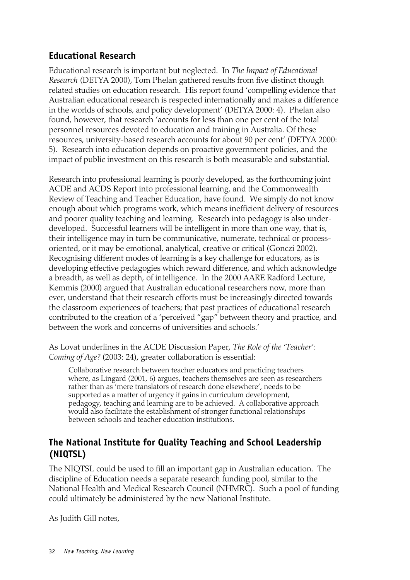### **Educational Research**

Educational research is important but neglected. In *The Impact of Educational Research* (DETYA 2000), Tom Phelan gathered results from five distinct though related studies on education research. His report found 'compelling evidence that Australian educational research is respected internationally and makes a difference in the worlds of schools, and policy development' (DETYA 2000: 4). Phelan also found, however, that research 'accounts for less than one per cent of the total personnel resources devoted to education and training in Australia. Of these resources, university-based research accounts for about 90 per cent' (DETYA 2000: 5). Research into education depends on proactive government policies, and the impact of public investment on this research is both measurable and substantial.

Research into professional learning is poorly developed, as the forthcoming joint ACDE and ACDS Report into professional learning, and the Commonwealth Review of Teaching and Teacher Education, have found. We simply do not know enough about which programs work, which means inefficient delivery of resources and poorer quality teaching and learning. Research into pedagogy is also underdeveloped. Successful learners will be intelligent in more than one way, that is, their intelligence may in turn be communicative, numerate, technical or processoriented, or it may be emotional, analytical, creative or critical (Gonczi 2002). Recognising different modes of learning is a key challenge for educators, as is developing effective pedagogies which reward difference, and which acknowledge a breadth, as well as depth, of intelligence. In the 2000 AARE Radford Lecture, Kemmis (2000) argued that Australian educational researchers now, more than ever, understand that their research efforts must be increasingly directed towards the classroom experiences of teachers; that past practices of educational research contributed to the creation of a 'perceived "gap" between theory and practice, and between the work and concerns of universities and schools.'

As Lovat underlines in the ACDE Discussion Paper, *The Role of the 'Teacher': Coming of Age?* (2003: 24), greater collaboration is essential:

Collaborative research between teacher educators and practicing teachers where, as Lingard (2001, 6) argues, teachers themselves are seen as researchers rather than as 'mere translators of research done elsewhere', needs to be supported as a matter of urgency if gains in curriculum development, pedagogy, teaching and learning are to be achieved. A collaborative approach would also facilitate the establishment of stronger functional relationships between schools and teacher education institutions.

### **The National Institute for Quality Teaching and School Leadership (NIQTSL)**

The NIQTSL could be used to fill an important gap in Australian education. The discipline of Education needs a separate research funding pool, similar to the National Health and Medical Research Council (NHMRC). Such a pool of funding could ultimately be administered by the new National Institute.

As Judith Gill notes,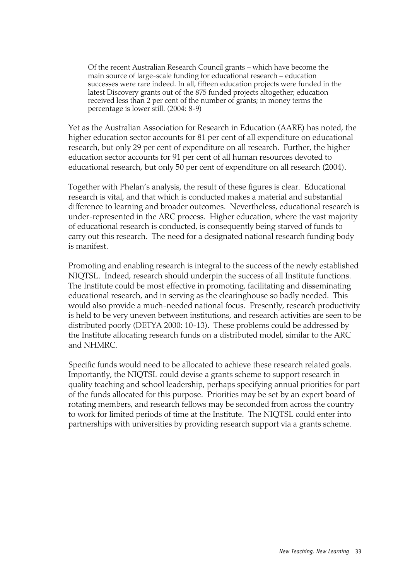Of the recent Australian Research Council grants – which have become the main source of large-scale funding for educational research – education successes were rare indeed. In all, fifteen education projects were funded in the latest Discovery grants out of the 875 funded projects altogether; education received less than 2 per cent of the number of grants; in money terms the percentage is lower still. (2004: 8-9)

Yet as the Australian Association for Research in Education (AARE) has noted, the higher education sector accounts for 81 per cent of all expenditure on educational research, but only 29 per cent of expenditure on all research. Further, the higher education sector accounts for 91 per cent of all human resources devoted to educational research, but only 50 per cent of expenditure on all research (2004).

Together with Phelan's analysis, the result of these figures is clear. Educational research is vital, and that which is conducted makes a material and substantial difference to learning and broader outcomes. Nevertheless, educational research is under-represented in the ARC process. Higher education, where the vast majority of educational research is conducted, is consequently being starved of funds to carry out this research. The need for a designated national research funding body is manifest.

Promoting and enabling research is integral to the success of the newly established NIQTSL. Indeed, research should underpin the success of all Institute functions. The Institute could be most effective in promoting, facilitating and disseminating educational research, and in serving as the clearinghouse so badly needed. This would also provide a much-needed national focus. Presently, research productivity is held to be very uneven between institutions, and research activities are seen to be distributed poorly (DETYA 2000: 10-13). These problems could be addressed by the Institute allocating research funds on a distributed model, similar to the ARC and NHMRC.

Specific funds would need to be allocated to achieve these research related goals. Importantly, the NIQTSL could devise a grants scheme to support research in quality teaching and school leadership, perhaps specifying annual priorities for part of the funds allocated for this purpose. Priorities may be set by an expert board of rotating members, and research fellows may be seconded from across the country to work for limited periods of time at the Institute. The NIQTSL could enter into partnerships with universities by providing research support via a grants scheme.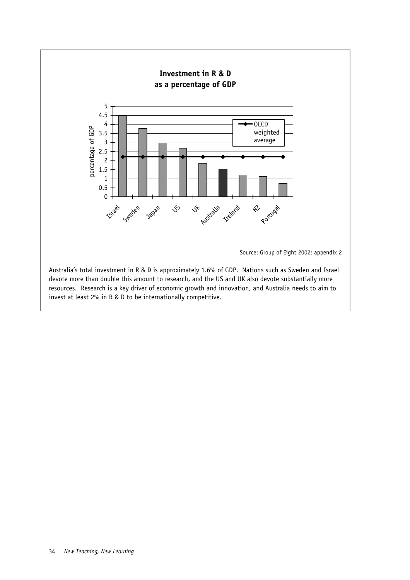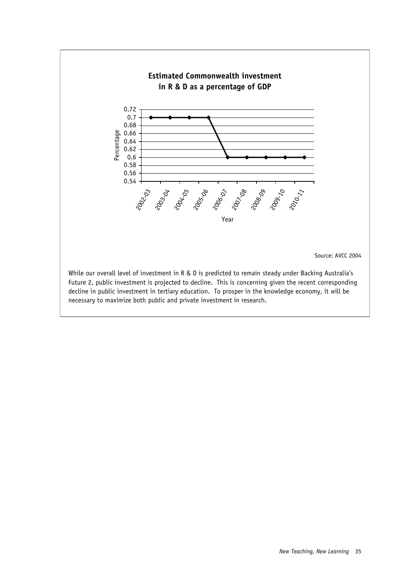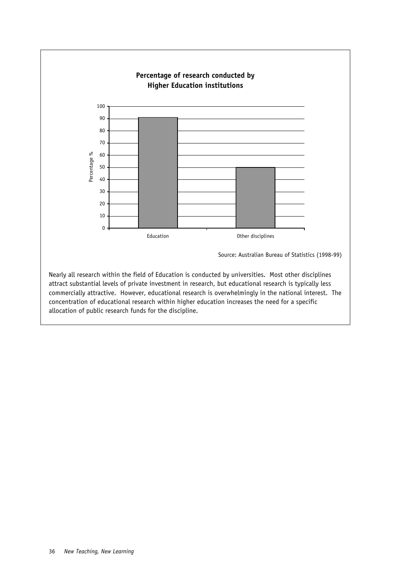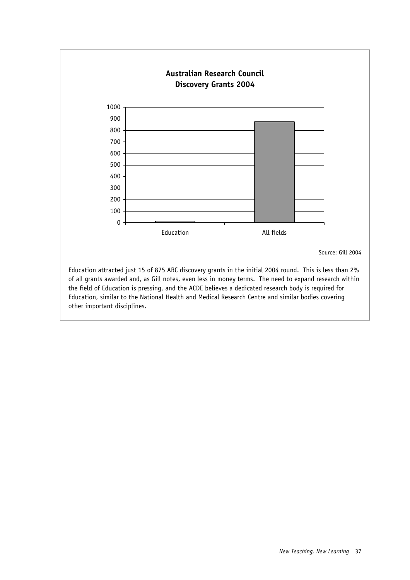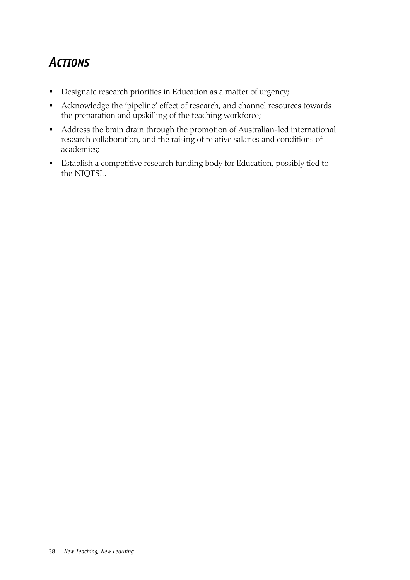# *ACTIONS*

- **Designate research priorities in Education as a matter of urgency;**
- Acknowledge the 'pipeline' effect of research, and channel resources towards the preparation and upskilling of the teaching workforce;
- Address the brain drain through the promotion of Australian-led international research collaboration, and the raising of relative salaries and conditions of academics;
- Establish a competitive research funding body for Education, possibly tied to the NIQTSL.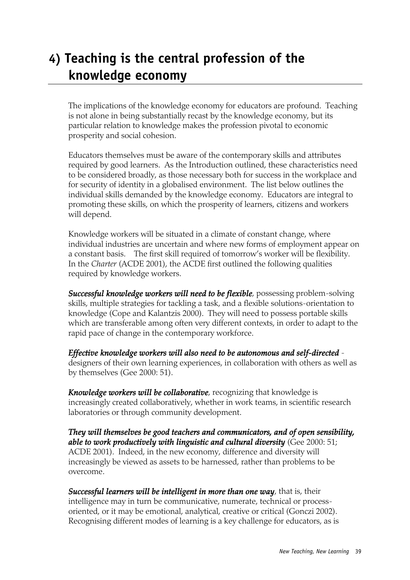# **4) Teaching is the central profession of the knowledge economy**

The implications of the knowledge economy for educators are profound. Teaching is not alone in being substantially recast by the knowledge economy, but its particular relation to knowledge makes the profession pivotal to economic prosperity and social cohesion.

Educators themselves must be aware of the contemporary skills and attributes required by good learners. As the Introduction outlined, these characteristics need to be considered broadly, as those necessary both for success in the workplace and for security of identity in a globalised environment. The list below outlines the individual skills demanded by the knowledge economy. Educators are integral to promoting these skills, on which the prosperity of learners, citizens and workers will depend.

Knowledge workers will be situated in a climate of constant change, where individual industries are uncertain and where new forms of employment appear on a constant basis. The first skill required of tomorrow's worker will be flexibility. In the *Charter* (ACDE 2001), the ACDE first outlined the following qualities required by knowledge workers.

*Successful knowledge workers will need to be flexible*, possessing problem-solving skills, multiple strategies for tackling a task, and a flexible solutions-orientation to knowledge (Cope and Kalantzis 2000). They will need to possess portable skills which are transferable among often very different contexts, in order to adapt to the rapid pace of change in the contemporary workforce.

*Effective knowledge workers will also need to be autonomous and self-directed* designers of their own learning experiences, in collaboration with others as well as by themselves (Gee 2000: 51).

*Knowledge workers will be collaborative*, recognizing that knowledge is increasingly created collaboratively, whether in work teams, in scientific research laboratories or through community development.

*They will themselves be good teachers and communicators, and of open sensibility, able to work productively with linguistic and cultural diversity* (Gee 2000: 51; ACDE 2001). Indeed, in the new economy, difference and diversity will increasingly be viewed as assets to be harnessed, rather than problems to be overcome.

*Successful learners will be intelligent in more than one way*, that is, their intelligence may in turn be communicative, numerate, technical or processoriented, or it may be emotional, analytical, creative or critical (Gonczi 2002). Recognising different modes of learning is a key challenge for educators, as is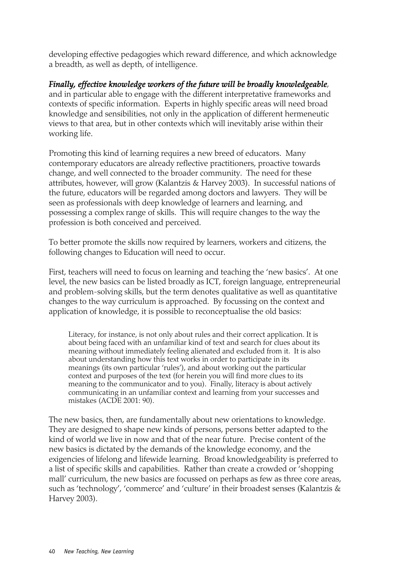developing effective pedagogies which reward difference, and which acknowledge a breadth, as well as depth, of intelligence.

*Finally, effective knowledge workers of the future will be broadly knowledgeable*, and in particular able to engage with the different interpretative frameworks and contexts of specific information. Experts in highly specific areas will need broad knowledge and sensibilities, not only in the application of different hermeneutic views to that area, but in other contexts which will inevitably arise within their working life.

Promoting this kind of learning requires a new breed of educators. Many contemporary educators are already reflective practitioners, proactive towards change, and well connected to the broader community. The need for these attributes, however, will grow (Kalantzis & Harvey 2003). In successful nations of the future, educators will be regarded among doctors and lawyers. They will be seen as professionals with deep knowledge of learners and learning, and possessing a complex range of skills. This will require changes to the way the profession is both conceived and perceived.

To better promote the skills now required by learners, workers and citizens, the following changes to Education will need to occur.

First, teachers will need to focus on learning and teaching the 'new basics'. At one level, the new basics can be listed broadly as ICT, foreign language, entrepreneurial and problem-solving skills, but the term denotes qualitative as well as quantitative changes to the way curriculum is approached. By focussing on the context and application of knowledge, it is possible to reconceptualise the old basics:

Literacy, for instance, is not only about rules and their correct application. It is about being faced with an unfamiliar kind of text and search for clues about its meaning without immediately feeling alienated and excluded from it. It is also about understanding how this text works in order to participate in its meanings (its own particular 'rules'), and about working out the particular context and purposes of the text (for herein you will find more clues to its meaning to the communicator and to you). Finally, literacy is about actively communicating in an unfamiliar context and learning from your successes and mistakes (ACDE 2001: 90).

The new basics, then, are fundamentally about new orientations to knowledge. They are designed to shape new kinds of persons, persons better adapted to the kind of world we live in now and that of the near future. Precise content of the new basics is dictated by the demands of the knowledge economy, and the exigencies of lifelong and lifewide learning. Broad knowledgeability is preferred to a list of specific skills and capabilities. Rather than create a crowded or 'shopping mall' curriculum, the new basics are focussed on perhaps as few as three core areas, such as 'technology', 'commerce' and 'culture' in their broadest senses (Kalantzis & Harvey 2003).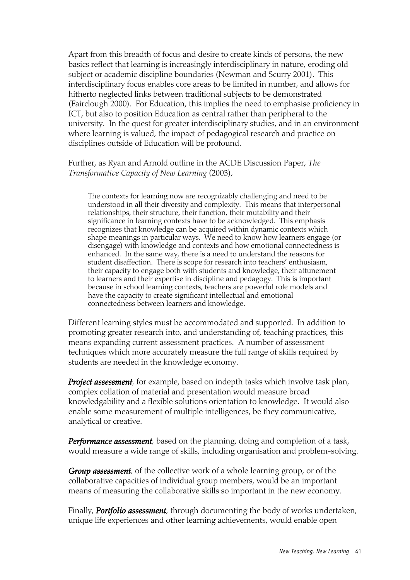Apart from this breadth of focus and desire to create kinds of persons, the new basics reflect that learning is increasingly interdisciplinary in nature, eroding old subject or academic discipline boundaries (Newman and Scurry 2001). This interdisciplinary focus enables core areas to be limited in number, and allows for hitherto neglected links between traditional subjects to be demonstrated (Fairclough 2000). For Education, this implies the need to emphasise proficiency in ICT, but also to position Education as central rather than peripheral to the university. In the quest for greater interdisciplinary studies, and in an environment where learning is valued, the impact of pedagogical research and practice on disciplines outside of Education will be profound.

Further, as Ryan and Arnold outline in the ACDE Discussion Paper, *The Transformative Capacity of New Learning* (2003),

The contexts for learning now are recognizably challenging and need to be understood in all their diversity and complexity. This means that interpersonal relationships, their structure, their function, their mutability and their significance in learning contexts have to be acknowledged. This emphasis recognizes that knowledge can be acquired within dynamic contexts which shape meanings in particular ways. We need to know how learners engage (or disengage) with knowledge and contexts and how emotional connectedness is enhanced. In the same way, there is a need to understand the reasons for student disaffection. There is scope for research into teachers' enthusiasm, their capacity to engage both with students and knowledge, their attunement to learners and their expertise in discipline and pedagogy. This is important because in school learning contexts, teachers are powerful role models and have the capacity to create significant intellectual and emotional connectedness between learners and knowledge.

Different learning styles must be accommodated and supported. In addition to promoting greater research into, and understanding of, teaching practices, this means expanding current assessment practices. A number of assessment techniques which more accurately measure the full range of skills required by students are needed in the knowledge economy.

*Project assessment*, for example, based on indepth tasks which involve task plan, complex collation of material and presentation would measure broad knowledgability and a flexible solutions orientation to knowledge. It would also enable some measurement of multiple intelligences, be they communicative, analytical or creative.

*Performance assessment,* based on the planning, doing and completion of a task, would measure a wide range of skills, including organisation and problem-solving.

*Group assessment,* of the collective work of a whole learning group, or of the collaborative capacities of individual group members, would be an important means of measuring the collaborative skills so important in the new economy.

Finally, *Portfolio assessment,* through documenting the body of works undertaken, unique life experiences and other learning achievements, would enable open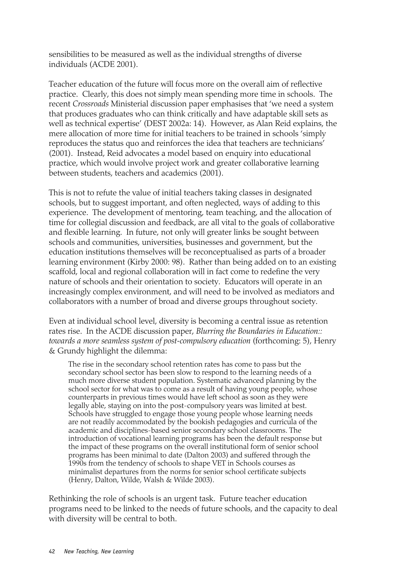sensibilities to be measured as well as the individual strengths of diverse individuals (ACDE 2001).

Teacher education of the future will focus more on the overall aim of reflective practice. Clearly, this does not simply mean spending more time in schools. The recent *Crossroads* Ministerial discussion paper emphasises that 'we need a system that produces graduates who can think critically and have adaptable skill sets as well as technical expertise' (DEST 2002a: 14). However, as Alan Reid explains, the mere allocation of more time for initial teachers to be trained in schools 'simply reproduces the status quo and reinforces the idea that teachers are technicians' (2001). Instead, Reid advocates a model based on enquiry into educational practice, which would involve project work and greater collaborative learning between students, teachers and academics (2001).

This is not to refute the value of initial teachers taking classes in designated schools, but to suggest important, and often neglected, ways of adding to this experience. The development of mentoring, team teaching, and the allocation of time for collegial discussion and feedback, are all vital to the goals of collaborative and flexible learning. In future, not only will greater links be sought between schools and communities, universities, businesses and government, but the education institutions themselves will be reconceptualised as parts of a broader learning environment (Kirby 2000: 98). Rather than being added on to an existing scaffold, local and regional collaboration will in fact come to redefine the very nature of schools and their orientation to society. Educators will operate in an increasingly complex environment, and will need to be involved as mediators and collaborators with a number of broad and diverse groups throughout society.

Even at individual school level, diversity is becoming a central issue as retention rates rise. In the ACDE discussion paper, *Blurring the Boundaries in Education:: towards a more seamless system of post-compulsory education* (forthcoming: 5), Henry & Grundy highlight the dilemma:

The rise in the secondary school retention rates has come to pass but the secondary school sector has been slow to respond to the learning needs of a much more diverse student population. Systematic advanced planning by the school sector for what was to come as a result of having young people, whose counterparts in previous times would have left school as soon as they were legally able, staying on into the post-compulsory years was limited at best. Schools have struggled to engage those young people whose learning needs are not readily accommodated by the bookish pedagogies and curricula of the academic and disciplines-based senior secondary school classrooms. The introduction of vocational learning programs has been the default response but the impact of these programs on the overall institutional form of senior school programs has been minimal to date (Dalton 2003) and suffered through the 1990s from the tendency of schools to shape VET in Schools courses as minimalist departures from the norms for senior school certificate subjects (Henry, Dalton, Wilde, Walsh & Wilde 2003).

Rethinking the role of schools is an urgent task. Future teacher education programs need to be linked to the needs of future schools, and the capacity to deal with diversity will be central to both.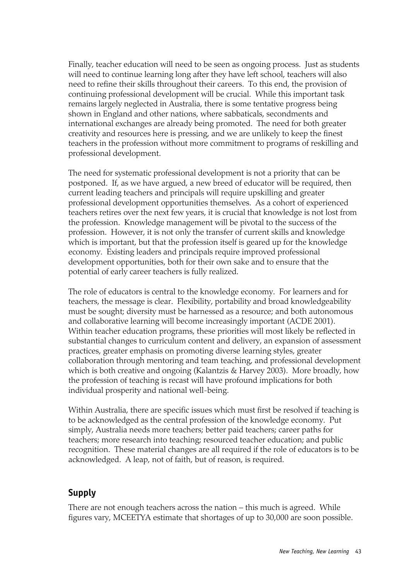Finally, teacher education will need to be seen as ongoing process. Just as students will need to continue learning long after they have left school, teachers will also need to refine their skills throughout their careers. To this end, the provision of continuing professional development will be crucial. While this important task remains largely neglected in Australia, there is some tentative progress being shown in England and other nations, where sabbaticals, secondments and international exchanges are already being promoted. The need for both greater creativity and resources here is pressing, and we are unlikely to keep the finest teachers in the profession without more commitment to programs of reskilling and professional development.

The need for systematic professional development is not a priority that can be postponed. If, as we have argued, a new breed of educator will be required, then current leading teachers and principals will require upskilling and greater professional development opportunities themselves. As a cohort of experienced teachers retires over the next few years, it is crucial that knowledge is not lost from the profession. Knowledge management will be pivotal to the success of the profession. However, it is not only the transfer of current skills and knowledge which is important, but that the profession itself is geared up for the knowledge economy. Existing leaders and principals require improved professional development opportunities, both for their own sake and to ensure that the potential of early career teachers is fully realized.

The role of educators is central to the knowledge economy. For learners and for teachers, the message is clear. Flexibility, portability and broad knowledgeability must be sought; diversity must be harnessed as a resource; and both autonomous and collaborative learning will become increasingly important (ACDE 2001). Within teacher education programs, these priorities will most likely be reflected in substantial changes to curriculum content and delivery, an expansion of assessment practices, greater emphasis on promoting diverse learning styles, greater collaboration through mentoring and team teaching, and professional development which is both creative and ongoing (Kalantzis & Harvey 2003). More broadly, how the profession of teaching is recast will have profound implications for both individual prosperity and national well-being.

Within Australia, there are specific issues which must first be resolved if teaching is to be acknowledged as the central profession of the knowledge economy. Put simply, Australia needs more teachers; better paid teachers; career paths for teachers; more research into teaching; resourced teacher education; and public recognition. These material changes are all required if the role of educators is to be acknowledged. A leap, not of faith, but of reason, is required.

#### **Supply**

There are not enough teachers across the nation – this much is agreed. While figures vary, MCEETYA estimate that shortages of up to 30,000 are soon possible.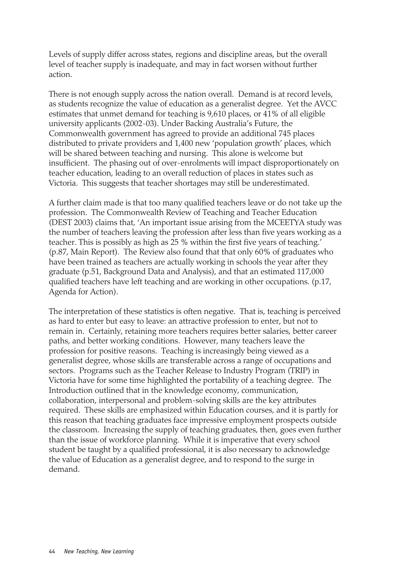Levels of supply differ across states, regions and discipline areas, but the overall level of teacher supply is inadequate, and may in fact worsen without further action.

There is not enough supply across the nation overall. Demand is at record levels, as students recognize the value of education as a generalist degree. Yet the AVCC estimates that unmet demand for teaching is 9,610 places, or 41% of all eligible university applicants (2002-03). Under Backing Australia's Future, the Commonwealth government has agreed to provide an additional 745 places distributed to private providers and 1,400 new 'population growth' places, which will be shared between teaching and nursing. This alone is welcome but insufficient. The phasing out of over-enrolments will impact disproportionately on teacher education, leading to an overall reduction of places in states such as Victoria. This suggests that teacher shortages may still be underestimated.

A further claim made is that too many qualified teachers leave or do not take up the profession. The Commonwealth Review of Teaching and Teacher Education (DEST 2003) claims that, 'An important issue arising from the MCEETYA study was the number of teachers leaving the profession after less than five years working as a teacher. This is possibly as high as 25 % within the first five years of teaching.' (p.87, Main Report). The Review also found that that only 60% of graduates who have been trained as teachers are actually working in schools the year after they graduate (p.51, Background Data and Analysis), and that an estimated 117,000 qualified teachers have left teaching and are working in other occupations. (p.17, Agenda for Action).

The interpretation of these statistics is often negative. That is, teaching is perceived as hard to enter but easy to leave: an attractive profession to enter, but not to remain in. Certainly, retaining more teachers requires better salaries, better career paths, and better working conditions. However, many teachers leave the profession for positive reasons. Teaching is increasingly being viewed as a generalist degree, whose skills are transferable across a range of occupations and sectors. Programs such as the Teacher Release to Industry Program (TRIP) in Victoria have for some time highlighted the portability of a teaching degree. The Introduction outlined that in the knowledge economy, communication, collaboration, interpersonal and problem-solving skills are the key attributes required. These skills are emphasized within Education courses, and it is partly for this reason that teaching graduates face impressive employment prospects outside the classroom. Increasing the supply of teaching graduates, then, goes even further than the issue of workforce planning. While it is imperative that every school student be taught by a qualified professional, it is also necessary to acknowledge the value of Education as a generalist degree, and to respond to the surge in demand.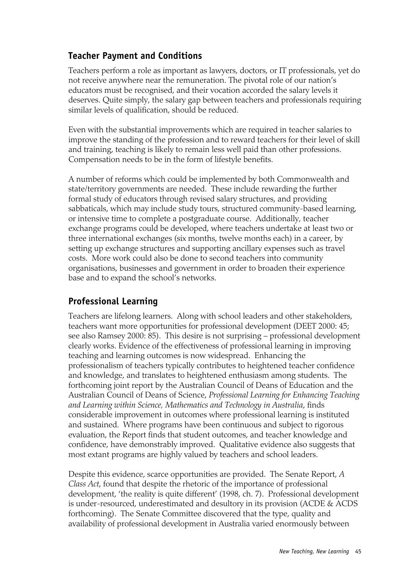### **Teacher Payment and Conditions**

Teachers perform a role as important as lawyers, doctors, or IT professionals, yet do not receive anywhere near the remuneration. The pivotal role of our nation's educators must be recognised, and their vocation accorded the salary levels it deserves. Quite simply, the salary gap between teachers and professionals requiring similar levels of qualification, should be reduced.

Even with the substantial improvements which are required in teacher salaries to improve the standing of the profession and to reward teachers for their level of skill and training, teaching is likely to remain less well paid than other professions. Compensation needs to be in the form of lifestyle benefits.

A number of reforms which could be implemented by both Commonwealth and state/territory governments are needed. These include rewarding the further formal study of educators through revised salary structures, and providing sabbaticals, which may include study tours, structured community-based learning, or intensive time to complete a postgraduate course. Additionally, teacher exchange programs could be developed, where teachers undertake at least two or three international exchanges (six months, twelve months each) in a career, by setting up exchange structures and supporting ancillary expenses such as travel costs. More work could also be done to second teachers into community organisations, businesses and government in order to broaden their experience base and to expand the school's networks.

### **Professional Learning**

Teachers are lifelong learners. Along with school leaders and other stakeholders, teachers want more opportunities for professional development (DEET 2000: 45; see also Ramsey 2000: 85). This desire is not surprising – professional development clearly works. Evidence of the effectiveness of professional learning in improving teaching and learning outcomes is now widespread. Enhancing the professionalism of teachers typically contributes to heightened teacher confidence and knowledge, and translates to heightened enthusiasm among students. The forthcoming joint report by the Australian Council of Deans of Education and the Australian Council of Deans of Science, *Professional Learning for Enhancing Teaching and Learning within Science, Mathematics and Technology in Australia*, finds considerable improvement in outcomes where professional learning is instituted and sustained. Where programs have been continuous and subject to rigorous evaluation, the Report finds that student outcomes, and teacher knowledge and confidence, have demonstrably improved. Qualitative evidence also suggests that most extant programs are highly valued by teachers and school leaders.

Despite this evidence, scarce opportunities are provided. The Senate Report, *A Class Act*, found that despite the rhetoric of the importance of professional development, 'the reality is quite different' (1998, ch. 7). Professional development is under-resourced, underestimated and desultory in its provision (ACDE & ACDS forthcoming). The Senate Committee discovered that the type, quality and availability of professional development in Australia varied enormously between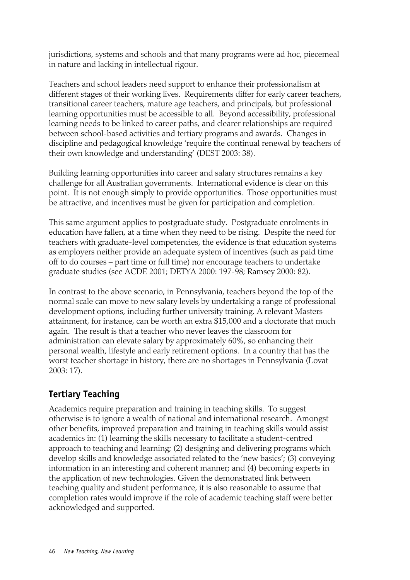jurisdictions, systems and schools and that many programs were ad hoc, piecemeal in nature and lacking in intellectual rigour.

Teachers and school leaders need support to enhance their professionalism at different stages of their working lives. Requirements differ for early career teachers, transitional career teachers, mature age teachers, and principals, but professional learning opportunities must be accessible to all. Beyond accessibility, professional learning needs to be linked to career paths, and clearer relationships are required between school-based activities and tertiary programs and awards. Changes in discipline and pedagogical knowledge 'require the continual renewal by teachers of their own knowledge and understanding' (DEST 2003: 38).

Building learning opportunities into career and salary structures remains a key challenge for all Australian governments. International evidence is clear on this point. It is not enough simply to provide opportunities. Those opportunities must be attractive, and incentives must be given for participation and completion.

This same argument applies to postgraduate study. Postgraduate enrolments in education have fallen, at a time when they need to be rising. Despite the need for teachers with graduate-level competencies, the evidence is that education systems as employers neither provide an adequate system of incentives (such as paid time off to do courses – part time or full time) nor encourage teachers to undertake graduate studies (see ACDE 2001; DETYA 2000: 197-98; Ramsey 2000: 82).

In contrast to the above scenario, in Pennsylvania, teachers beyond the top of the normal scale can move to new salary levels by undertaking a range of professional development options, including further university training. A relevant Masters attainment, for instance, can be worth an extra \$15,000 and a doctorate that much again. The result is that a teacher who never leaves the classroom for administration can elevate salary by approximately 60%, so enhancing their personal wealth, lifestyle and early retirement options. In a country that has the worst teacher shortage in history, there are no shortages in Pennsylvania (Lovat 2003: 17).

## **Tertiary Teaching**

Academics require preparation and training in teaching skills. To suggest otherwise is to ignore a wealth of national and international research. Amongst other benefits, improved preparation and training in teaching skills would assist academics in: (1) learning the skills necessary to facilitate a student-centred approach to teaching and learning; (2) designing and delivering programs which develop skills and knowledge associated related to the 'new basics'; (3) conveying information in an interesting and coherent manner; and (4) becoming experts in the application of new technologies. Given the demonstrated link between teaching quality and student performance, it is also reasonable to assume that completion rates would improve if the role of academic teaching staff were better acknowledged and supported.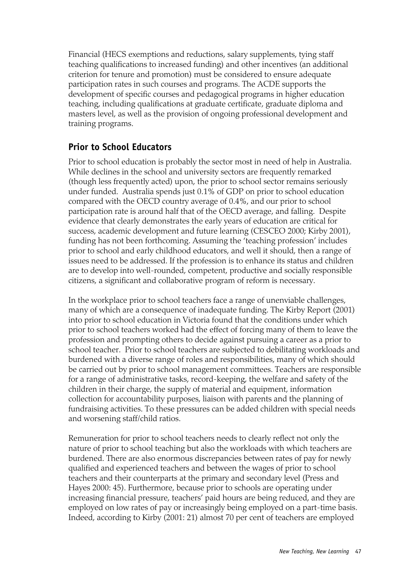Financial (HECS exemptions and reductions, salary supplements, tying staff teaching qualifications to increased funding) and other incentives (an additional criterion for tenure and promotion) must be considered to ensure adequate participation rates in such courses and programs. The ACDE supports the development of specific courses and pedagogical programs in higher education teaching, including qualifications at graduate certificate, graduate diploma and masters level, as well as the provision of ongoing professional development and training programs.

#### **Prior to School Educators**

Prior to school education is probably the sector most in need of help in Australia. While declines in the school and university sectors are frequently remarked (though less frequently acted) upon, the prior to school sector remains seriously under funded. Australia spends just 0.1% of GDP on prior to school education compared with the OECD country average of 0.4%, and our prior to school participation rate is around half that of the OECD average, and falling. Despite evidence that clearly demonstrates the early years of education are critical for success, academic development and future learning (CESCEO 2000; Kirby 2001), funding has not been forthcoming. Assuming the 'teaching profession' includes prior to school and early childhood educators, and well it should, then a range of issues need to be addressed. If the profession is to enhance its status and children are to develop into well-rounded, competent, productive and socially responsible citizens, a significant and collaborative program of reform is necessary.

In the workplace prior to school teachers face a range of unenviable challenges, many of which are a consequence of inadequate funding. The Kirby Report (2001) into prior to school education in Victoria found that the conditions under which prior to school teachers worked had the effect of forcing many of them to leave the profession and prompting others to decide against pursuing a career as a prior to school teacher. Prior to school teachers are subjected to debilitating workloads and burdened with a diverse range of roles and responsibilities, many of which should be carried out by prior to school management committees. Teachers are responsible for a range of administrative tasks, record-keeping, the welfare and safety of the children in their charge, the supply of material and equipment, information collection for accountability purposes, liaison with parents and the planning of fundraising activities. To these pressures can be added children with special needs and worsening staff/child ratios.

Remuneration for prior to school teachers needs to clearly reflect not only the nature of prior to school teaching but also the workloads with which teachers are burdened. There are also enormous discrepancies between rates of pay for newly qualified and experienced teachers and between the wages of prior to school teachers and their counterparts at the primary and secondary level (Press and Hayes 2000: 45). Furthermore, because prior to schools are operating under increasing financial pressure, teachers' paid hours are being reduced, and they are employed on low rates of pay or increasingly being employed on a part-time basis. Indeed, according to Kirby (2001: 21) almost 70 per cent of teachers are employed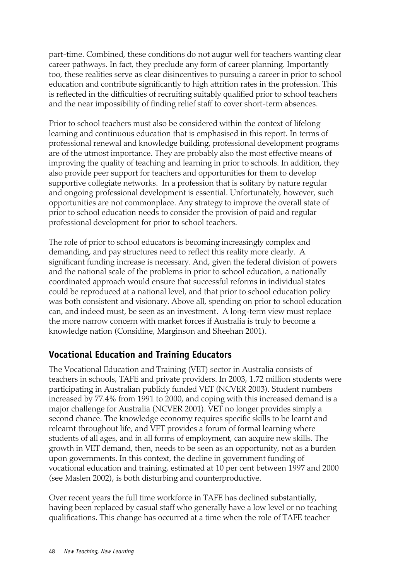part-time. Combined, these conditions do not augur well for teachers wanting clear career pathways. In fact, they preclude any form of career planning. Importantly too, these realities serve as clear disincentives to pursuing a career in prior to school education and contribute significantly to high attrition rates in the profession. This is reflected in the difficulties of recruiting suitably qualified prior to school teachers and the near impossibility of finding relief staff to cover short-term absences.

Prior to school teachers must also be considered within the context of lifelong learning and continuous education that is emphasised in this report. In terms of professional renewal and knowledge building, professional development programs are of the utmost importance. They are probably also the most effective means of improving the quality of teaching and learning in prior to schools. In addition, they also provide peer support for teachers and opportunities for them to develop supportive collegiate networks. In a profession that is solitary by nature regular and ongoing professional development is essential. Unfortunately, however, such opportunities are not commonplace. Any strategy to improve the overall state of prior to school education needs to consider the provision of paid and regular professional development for prior to school teachers.

The role of prior to school educators is becoming increasingly complex and demanding, and pay structures need to reflect this reality more clearly. A significant funding increase is necessary. And, given the federal division of powers and the national scale of the problems in prior to school education, a nationally coordinated approach would ensure that successful reforms in individual states could be reproduced at a national level, and that prior to school education policy was both consistent and visionary. Above all, spending on prior to school education can, and indeed must, be seen as an investment. A long-term view must replace the more narrow concern with market forces if Australia is truly to become a knowledge nation (Considine, Marginson and Sheehan 2001).

### **Vocational Education and Training Educators**

The Vocational Education and Training (VET) sector in Australia consists of teachers in schools, TAFE and private providers. In 2003, 1.72 million students were participating in Australian publicly funded VET (NCVER 2003). Student numbers increased by 77.4% from 1991 to 2000, and coping with this increased demand is a major challenge for Australia (NCVER 2001). VET no longer provides simply a second chance. The knowledge economy requires specific skills to be learnt and relearnt throughout life, and VET provides a forum of formal learning where students of all ages, and in all forms of employment, can acquire new skills. The growth in VET demand, then, needs to be seen as an opportunity, not as a burden upon governments. In this context, the decline in government funding of vocational education and training, estimated at 10 per cent between 1997 and 2000 (see Maslen 2002), is both disturbing and counterproductive.

Over recent years the full time workforce in TAFE has declined substantially, having been replaced by casual staff who generally have a low level or no teaching qualifications. This change has occurred at a time when the role of TAFE teacher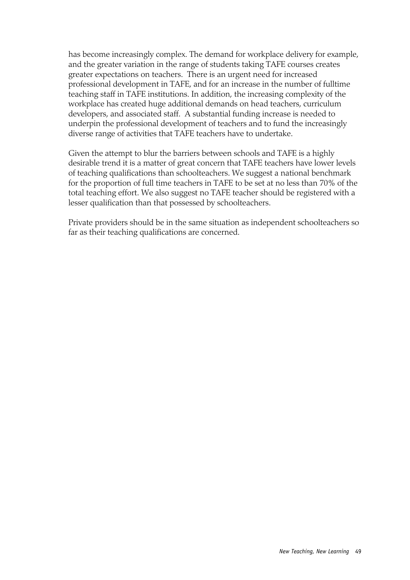has become increasingly complex. The demand for workplace delivery for example, and the greater variation in the range of students taking TAFE courses creates greater expectations on teachers. There is an urgent need for increased professional development in TAFE, and for an increase in the number of fulltime teaching staff in TAFE institutions. In addition, the increasing complexity of the workplace has created huge additional demands on head teachers, curriculum developers, and associated staff. A substantial funding increase is needed to underpin the professional development of teachers and to fund the increasingly diverse range of activities that TAFE teachers have to undertake.

Given the attempt to blur the barriers between schools and TAFE is a highly desirable trend it is a matter of great concern that TAFE teachers have lower levels of teaching qualifications than schoolteachers. We suggest a national benchmark for the proportion of full time teachers in TAFE to be set at no less than 70% of the total teaching effort. We also suggest no TAFE teacher should be registered with a lesser qualification than that possessed by schoolteachers.

Private providers should be in the same situation as independent schoolteachers so far as their teaching qualifications are concerned.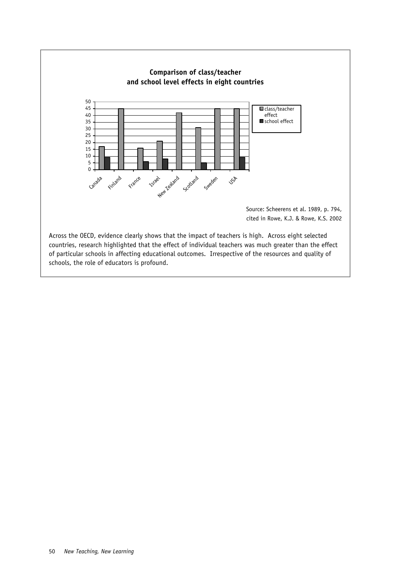

schools, the role of educators is profound.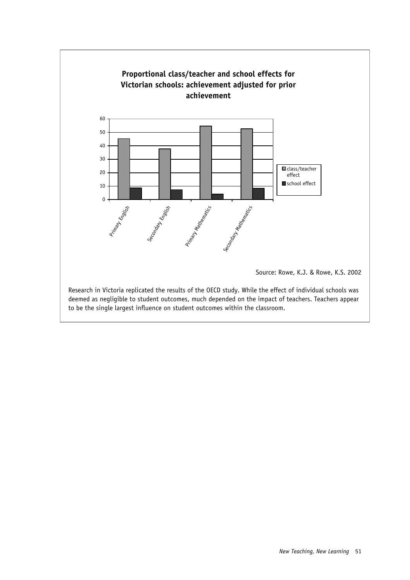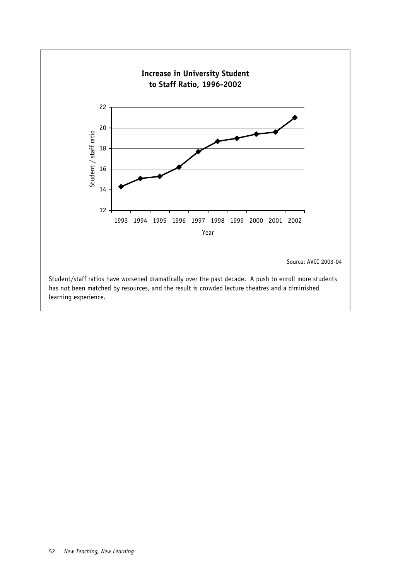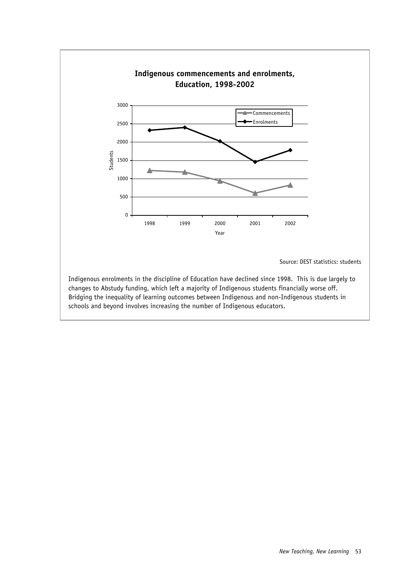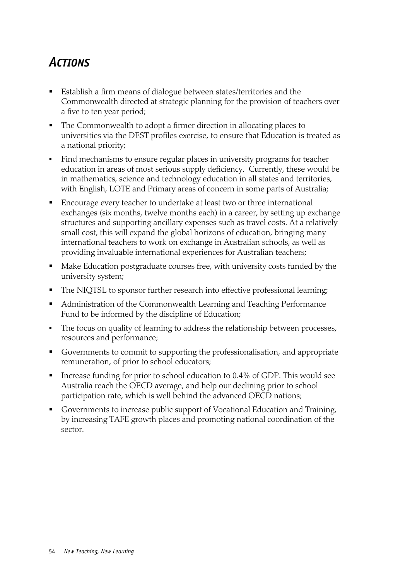# *ACTIONS*

- Establish a firm means of dialogue between states/territories and the Commonwealth directed at strategic planning for the provision of teachers over a five to ten year period;
- The Commonwealth to adopt a firmer direction in allocating places to universities via the DEST profiles exercise, to ensure that Education is treated as a national priority;
- Find mechanisms to ensure regular places in university programs for teacher education in areas of most serious supply deficiency. Currently, these would be in mathematics, science and technology education in all states and territories, with English, LOTE and Primary areas of concern in some parts of Australia;
- Encourage every teacher to undertake at least two or three international exchanges (six months, twelve months each) in a career, by setting up exchange structures and supporting ancillary expenses such as travel costs. At a relatively small cost, this will expand the global horizons of education, bringing many international teachers to work on exchange in Australian schools, as well as providing invaluable international experiences for Australian teachers;
- Make Education postgraduate courses free, with university costs funded by the university system;
- The NIQTSL to sponsor further research into effective professional learning;
- Administration of the Commonwealth Learning and Teaching Performance Fund to be informed by the discipline of Education;
- The focus on quality of learning to address the relationship between processes, resources and performance;
- Governments to commit to supporting the professionalisation, and appropriate remuneration, of prior to school educators;
- Increase funding for prior to school education to 0.4% of GDP. This would see Australia reach the OECD average, and help our declining prior to school participation rate, which is well behind the advanced OECD nations;
- Governments to increase public support of Vocational Education and Training, by increasing TAFE growth places and promoting national coordination of the sector.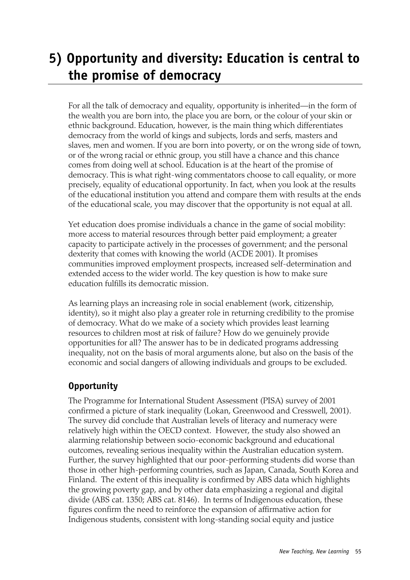# **5) Opportunity and diversity: Education is central to the promise of democracy**

For all the talk of democracy and equality, opportunity is inherited—in the form of the wealth you are born into, the place you are born, or the colour of your skin or ethnic background. Education, however, is the main thing which differentiates democracy from the world of kings and subjects, lords and serfs, masters and slaves, men and women. If you are born into poverty, or on the wrong side of town, or of the wrong racial or ethnic group, you still have a chance and this chance comes from doing well at school. Education is at the heart of the promise of democracy. This is what right-wing commentators choose to call equality, or more precisely, equality of educational opportunity. In fact, when you look at the results of the educational institution you attend and compare them with results at the ends of the educational scale, you may discover that the opportunity is not equal at all.

Yet education does promise individuals a chance in the game of social mobility: more access to material resources through better paid employment; a greater capacity to participate actively in the processes of government; and the personal dexterity that comes with knowing the world (ACDE 2001). It promises communities improved employment prospects, increased self-determination and extended access to the wider world. The key question is how to make sure education fulfills its democratic mission.

As learning plays an increasing role in social enablement (work, citizenship, identity), so it might also play a greater role in returning credibility to the promise of democracy. What do we make of a society which provides least learning resources to children most at risk of failure? How do we genuinely provide opportunities for all? The answer has to be in dedicated programs addressing inequality, not on the basis of moral arguments alone, but also on the basis of the economic and social dangers of allowing individuals and groups to be excluded.

## **Opportunity**

The Programme for International Student Assessment (PISA) survey of 2001 confirmed a picture of stark inequality (Lokan, Greenwood and Cresswell, 2001). The survey did conclude that Australian levels of literacy and numeracy were relatively high within the OECD context. However, the study also showed an alarming relationship between socio-economic background and educational outcomes, revealing serious inequality within the Australian education system. Further, the survey highlighted that our poor-performing students did worse than those in other high-performing countries, such as Japan, Canada, South Korea and Finland. The extent of this inequality is confirmed by ABS data which highlights the growing poverty gap, and by other data emphasizing a regional and digital divide (ABS cat. 1350; ABS cat. 8146). In terms of Indigenous education, these figures confirm the need to reinforce the expansion of affirmative action for Indigenous students, consistent with long-standing social equity and justice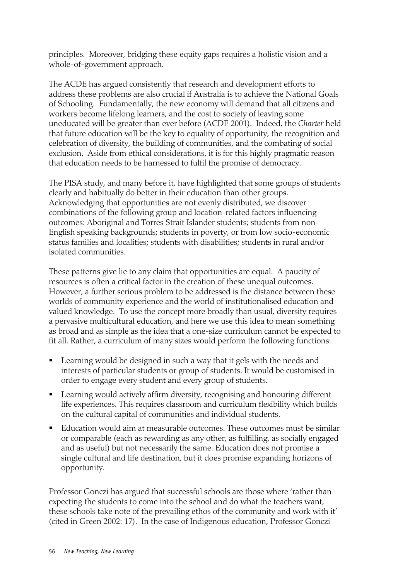principles. Moreover, bridging these equity gaps requires a holistic vision and a whole-of-government approach.

The ACDE has argued consistently that research and development efforts to address these problems are also crucial if Australia is to achieve the National Goals of Schooling. Fundamentally, the new economy will demand that all citizens and workers become lifelong learners, and the cost to society of leaving some uneducated will be greater than ever before (ACDE 2001). Indeed, the *Charter* held that future education will be the key to equality of opportunity, the recognition and celebration of diversity, the building of communities, and the combating of social exclusion. Aside from ethical considerations, it is for this highly pragmatic reason that education needs to be harnessed to fulfil the promise of democracy.

The PISA study, and many before it, have highlighted that some groups of students clearly and habitually do better in their education than other groups. Acknowledging that opportunities are not evenly distributed, we discover combinations of the following group and location-related factors influencing outcomes: Aboriginal and Torres Strait Islander students; students from non-English speaking backgrounds; students in poverty, or from low socio-economic status families and localities; students with disabilities; students in rural and/or isolated communities.

These patterns give lie to any claim that opportunities are equal. A paucity of resources is often a critical factor in the creation of these unequal outcomes. However, a further serious problem to be addressed is the distance between these worlds of community experience and the world of institutionalised education and valued knowledge. To use the concept more broadly than usual, diversity requires a pervasive multicultural education, and here we use this idea to mean something as broad and as simple as the idea that a one-size curriculum cannot be expected to fit all. Rather, a curriculum of many sizes would perform the following functions:

- **EXECT** Learning would be designed in such a way that it gels with the needs and interests of particular students or group of students. It would be customised in order to engage every student and every group of students.
- Learning would actively affirm diversity, recognising and honouring different life experiences. This requires classroom and curriculum flexibility which builds on the cultural capital of communities and individual students.
- Education would aim at measurable outcomes. These outcomes must be similar or comparable (each as rewarding as any other, as fulfilling, as socially engaged and as useful) but not necessarily the same. Education does not promise a single cultural and life destination, but it does promise expanding horizons of opportunity.

Professor Gonczi has argued that successful schools are those where 'rather than expecting the students to come into the school and do what the teachers want, these schools take note of the prevailing ethos of the community and work with it' (cited in Green 2002: 17). In the case of Indigenous education, Professor Gonczi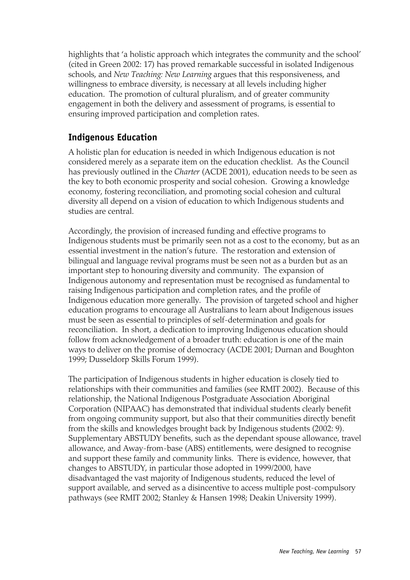highlights that 'a holistic approach which integrates the community and the school' (cited in Green 2002: 17) has proved remarkable successful in isolated Indigenous schools, and *New Teaching: New Learning* argues that this responsiveness, and willingness to embrace diversity, is necessary at all levels including higher education. The promotion of cultural pluralism, and of greater community engagement in both the delivery and assessment of programs, is essential to ensuring improved participation and completion rates.

#### **Indigenous Education**

A holistic plan for education is needed in which Indigenous education is not considered merely as a separate item on the education checklist. As the Council has previously outlined in the *Charter* (ACDE 2001), education needs to be seen as the key to both economic prosperity and social cohesion. Growing a knowledge economy, fostering reconciliation, and promoting social cohesion and cultural diversity all depend on a vision of education to which Indigenous students and studies are central.

Accordingly, the provision of increased funding and effective programs to Indigenous students must be primarily seen not as a cost to the economy, but as an essential investment in the nation's future. The restoration and extension of bilingual and language revival programs must be seen not as a burden but as an important step to honouring diversity and community. The expansion of Indigenous autonomy and representation must be recognised as fundamental to raising Indigenous participation and completion rates, and the profile of Indigenous education more generally. The provision of targeted school and higher education programs to encourage all Australians to learn about Indigenous issues must be seen as essential to principles of self-determination and goals for reconciliation. In short, a dedication to improving Indigenous education should follow from acknowledgement of a broader truth: education is one of the main ways to deliver on the promise of democracy (ACDE 2001; Durnan and Boughton 1999; Dusseldorp Skills Forum 1999).

The participation of Indigenous students in higher education is closely tied to relationships with their communities and families (see RMIT 2002). Because of this relationship, the National Indigenous Postgraduate Association Aboriginal Corporation (NIPAAC) has demonstrated that individual students clearly benefit from ongoing community support, but also that their communities directly benefit from the skills and knowledges brought back by Indigenous students (2002: 9). Supplementary ABSTUDY benefits, such as the dependant spouse allowance, travel allowance, and Away-from-base (ABS) entitlements, were designed to recognise and support these family and community links. There is evidence, however, that changes to ABSTUDY, in particular those adopted in 1999/2000, have disadvantaged the vast majority of Indigenous students, reduced the level of support available, and served as a disincentive to access multiple post-compulsory pathways (see RMIT 2002; Stanley & Hansen 1998; Deakin University 1999).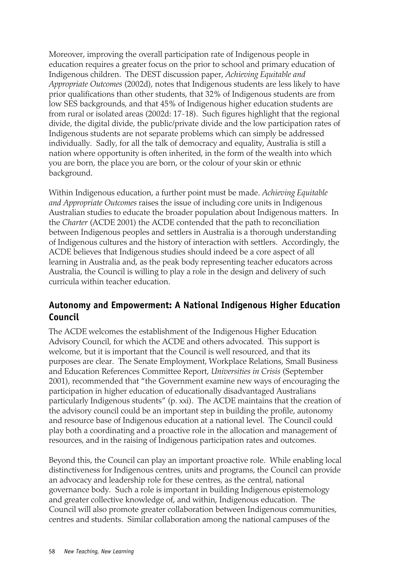Moreover, improving the overall participation rate of Indigenous people in education requires a greater focus on the prior to school and primary education of Indigenous children. The DEST discussion paper, *Achieving Equitable and Appropriate Outcomes* (2002d), notes that Indigenous students are less likely to have prior qualifications than other students, that 32% of Indigenous students are from low SES backgrounds, and that 45% of Indigenous higher education students are from rural or isolated areas (2002d: 17-18). Such figures highlight that the regional divide, the digital divide, the public/private divide and the low participation rates of Indigenous students are not separate problems which can simply be addressed individually. Sadly, for all the talk of democracy and equality, Australia is still a nation where opportunity is often inherited, in the form of the wealth into which you are born, the place you are born, or the colour of your skin or ethnic background.

Within Indigenous education, a further point must be made. *Achieving Equitable and Appropriate Outcomes* raises the issue of including core units in Indigenous Australian studies to educate the broader population about Indigenous matters. In the *Charter* (ACDE 2001) the ACDE contended that the path to reconciliation between Indigenous peoples and settlers in Australia is a thorough understanding of Indigenous cultures and the history of interaction with settlers. Accordingly, the ACDE believes that Indigenous studies should indeed be a core aspect of all learning in Australia and, as the peak body representing teacher educators across Australia, the Council is willing to play a role in the design and delivery of such curricula within teacher education.

### **Autonomy and Empowerment: A National Indigenous Higher Education Council**

The ACDE welcomes the establishment of the Indigenous Higher Education Advisory Council, for which the ACDE and others advocated. This support is welcome, but it is important that the Council is well resourced, and that its purposes are clear. The Senate Employment, Workplace Relations, Small Business and Education References Committee Report, *Universities in Crisis* (September 2001), recommended that "the Government examine new ways of encouraging the participation in higher education of educationally disadvantaged Australians particularly Indigenous students" (p. xxi). The ACDE maintains that the creation of the advisory council could be an important step in building the profile, autonomy and resource base of Indigenous education at a national level. The Council could play both a coordinating and a proactive role in the allocation and management of resources, and in the raising of Indigenous participation rates and outcomes.

Beyond this, the Council can play an important proactive role. While enabling local distinctiveness for Indigenous centres, units and programs, the Council can provide an advocacy and leadership role for these centres, as the central, national governance body. Such a role is important in building Indigenous epistemology and greater collective knowledge of, and within, Indigenous education. The Council will also promote greater collaboration between Indigenous communities, centres and students. Similar collaboration among the national campuses of the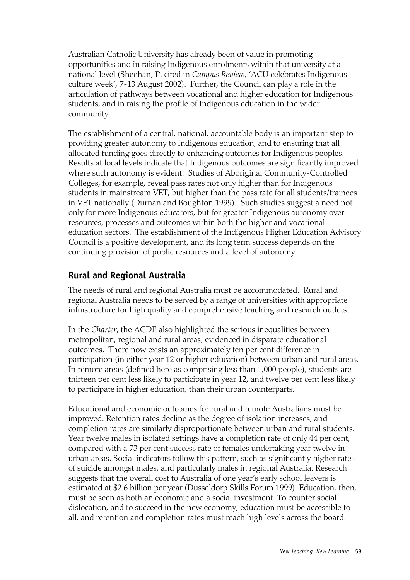Australian Catholic University has already been of value in promoting opportunities and in raising Indigenous enrolments within that university at a national level (Sheehan, P. cited in *Campus Review*, 'ACU celebrates Indigenous culture week', 7-13 August 2002). Further, the Council can play a role in the articulation of pathways between vocational and higher education for Indigenous students, and in raising the profile of Indigenous education in the wider community.

The establishment of a central, national, accountable body is an important step to providing greater autonomy to Indigenous education, and to ensuring that all allocated funding goes directly to enhancing outcomes for Indigenous peoples. Results at local levels indicate that Indigenous outcomes are significantly improved where such autonomy is evident. Studies of Aboriginal Community-Controlled Colleges, for example, reveal pass rates not only higher than for Indigenous students in mainstream VET, but higher than the pass rate for all students/trainees in VET nationally (Durnan and Boughton 1999). Such studies suggest a need not only for more Indigenous educators, but for greater Indigenous autonomy over resources, processes and outcomes within both the higher and vocational education sectors. The establishment of the Indigenous Higher Education Advisory Council is a positive development, and its long term success depends on the continuing provision of public resources and a level of autonomy.

#### **Rural and Regional Australia**

The needs of rural and regional Australia must be accommodated. Rural and regional Australia needs to be served by a range of universities with appropriate infrastructure for high quality and comprehensive teaching and research outlets.

In the *Charter*, the ACDE also highlighted the serious inequalities between metropolitan, regional and rural areas, evidenced in disparate educational outcomes. There now exists an approximately ten per cent difference in participation (in either year 12 or higher education) between urban and rural areas. In remote areas (defined here as comprising less than 1,000 people), students are thirteen per cent less likely to participate in year 12, and twelve per cent less likely to participate in higher education, than their urban counterparts.

Educational and economic outcomes for rural and remote Australians must be improved. Retention rates decline as the degree of isolation increases, and completion rates are similarly disproportionate between urban and rural students. Year twelve males in isolated settings have a completion rate of only 44 per cent, compared with a 73 per cent success rate of females undertaking year twelve in urban areas. Social indicators follow this pattern, such as significantly higher rates of suicide amongst males, and particularly males in regional Australia. Research suggests that the overall cost to Australia of one year's early school leavers is estimated at \$2.6 billion per year (Dusseldorp Skills Forum 1999). Education, then, must be seen as both an economic and a social investment. To counter social dislocation, and to succeed in the new economy, education must be accessible to all, and retention and completion rates must reach high levels across the board.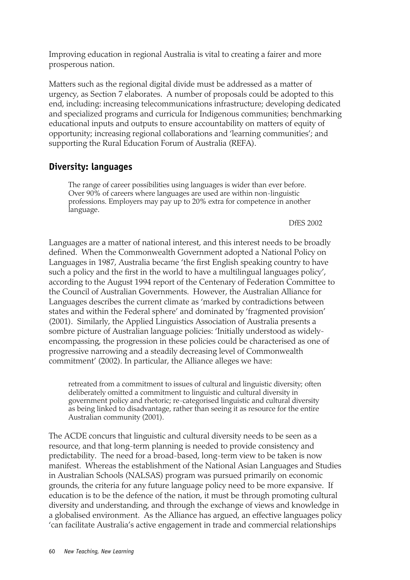Improving education in regional Australia is vital to creating a fairer and more prosperous nation.

Matters such as the regional digital divide must be addressed as a matter of urgency, as Section 7 elaborates. A number of proposals could be adopted to this end, including: increasing telecommunications infrastructure; developing dedicated and specialized programs and curricula for Indigenous communities; benchmarking educational inputs and outputs to ensure accountability on matters of equity of opportunity; increasing regional collaborations and 'learning communities'; and supporting the Rural Education Forum of Australia (REFA).

#### **Diversity: languages**

The range of career possibilities using languages is wider than ever before. Over 90% of careers where languages are used are within non-linguistic professions. Employers may pay up to 20% extra for competence in another language.

#### DfES 2002

Languages are a matter of national interest, and this interest needs to be broadly defined. When the Commonwealth Government adopted a National Policy on Languages in 1987, Australia became 'the first English speaking country to have such a policy and the first in the world to have a multilingual languages policy', according to the August 1994 report of the Centenary of Federation Committee to the Council of Australian Governments. However, the Australian Alliance for Languages describes the current climate as 'marked by contradictions between states and within the Federal sphere' and dominated by 'fragmented provision' (2001). Similarly, the Applied Linguistics Association of Australia presents a sombre picture of Australian language policies: 'Initially understood as widelyencompassing, the progression in these policies could be characterised as one of progressive narrowing and a steadily decreasing level of Commonwealth commitment' (2002). In particular, the Alliance alleges we have:

retreated from a commitment to issues of cultural and linguistic diversity; often deliberately omitted a commitment to linguistic and cultural diversity in government policy and rhetoric; re-categorised linguistic and cultural diversity as being linked to disadvantage, rather than seeing it as resource for the entire Australian community (2001).

The ACDE concurs that linguistic and cultural diversity needs to be seen as a resource, and that long-term planning is needed to provide consistency and predictability. The need for a broad-based, long-term view to be taken is now manifest. Whereas the establishment of the National Asian Languages and Studies in Australian Schools (NALSAS) program was pursued primarily on economic grounds, the criteria for any future language policy need to be more expansive. If education is to be the defence of the nation, it must be through promoting cultural diversity and understanding, and through the exchange of views and knowledge in a globalised environment. As the Alliance has argued, an effective languages policy 'can facilitate Australia's active engagement in trade and commercial relationships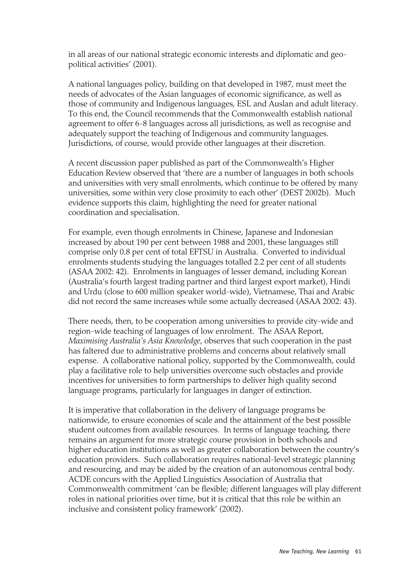in all areas of our national strategic economic interests and diplomatic and geopolitical activities' (2001).

A national languages policy, building on that developed in 1987, must meet the needs of advocates of the Asian languages of economic significance, as well as those of community and Indigenous languages, ESL and Auslan and adult literacy. To this end, the Council recommends that the Commonwealth establish national agreement to offer 6-8 languages across all jurisdictions, as well as recognise and adequately support the teaching of Indigenous and community languages. Jurisdictions, of course, would provide other languages at their discretion.

A recent discussion paper published as part of the Commonwealth's Higher Education Review observed that 'there are a number of languages in both schools and universities with very small enrolments, which continue to be offered by many universities, some within very close proximity to each other' (DEST 2002b). Much evidence supports this claim, highlighting the need for greater national coordination and specialisation.

For example, even though enrolments in Chinese, Japanese and Indonesian increased by about 190 per cent between 1988 and 2001, these languages still comprise only 0.8 per cent of total EFTSU in Australia. Converted to individual enrolments students studying the languages totalled 2.2 per cent of all students (ASAA 2002: 42). Enrolments in languages of lesser demand, including Korean (Australia's fourth largest trading partner and third largest export market), Hindi and Urdu (close to 600 million speaker world-wide), Vietnamese, Thai and Arabic did not record the same increases while some actually decreased (ASAA 2002: 43).

There needs, then, to be cooperation among universities to provide city-wide and region-wide teaching of languages of low enrolment. The ASAA Report, *Maximising Australia's Asia Knowledge*, observes that such cooperation in the past has faltered due to administrative problems and concerns about relatively small expense. A collaborative national policy, supported by the Commonwealth, could play a facilitative role to help universities overcome such obstacles and provide incentives for universities to form partnerships to deliver high quality second language programs, particularly for languages in danger of extinction.

It is imperative that collaboration in the delivery of language programs be nationwide, to ensure economies of scale and the attainment of the best possible student outcomes from available resources. In terms of language teaching, there remains an argument for more strategic course provision in both schools and higher education institutions as well as greater collaboration between the country's education providers. Such collaboration requires national-level strategic planning and resourcing, and may be aided by the creation of an autonomous central body. ACDE concurs with the Applied Linguistics Association of Australia that Commonwealth commitment 'can be flexible; different languages will play different roles in national priorities over time, but it is critical that this role be within an inclusive and consistent policy framework' (2002).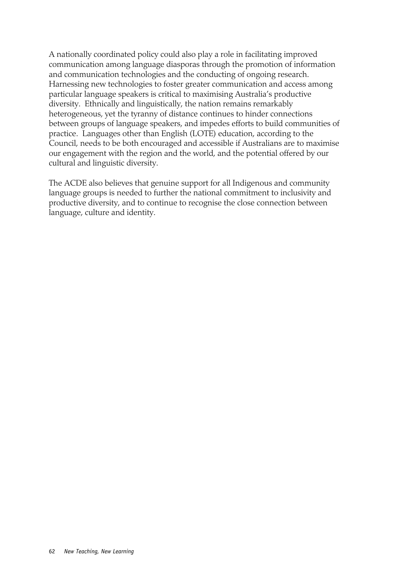A nationally coordinated policy could also play a role in facilitating improved communication among language diasporas through the promotion of information and communication technologies and the conducting of ongoing research. Harnessing new technologies to foster greater communication and access among particular language speakers is critical to maximising Australia's productive diversity. Ethnically and linguistically, the nation remains remarkably heterogeneous, yet the tyranny of distance continues to hinder connections between groups of language speakers, and impedes efforts to build communities of practice. Languages other than English (LOTE) education, according to the Council, needs to be both encouraged and accessible if Australians are to maximise our engagement with the region and the world, and the potential offered by our cultural and linguistic diversity.

The ACDE also believes that genuine support for all Indigenous and community language groups is needed to further the national commitment to inclusivity and productive diversity, and to continue to recognise the close connection between language, culture and identity.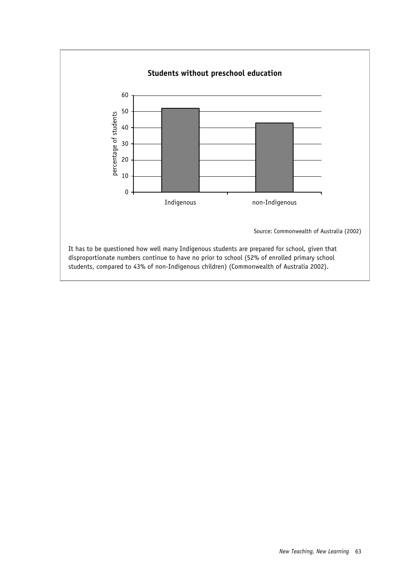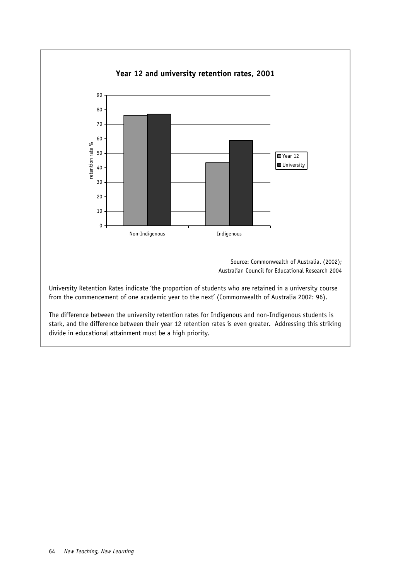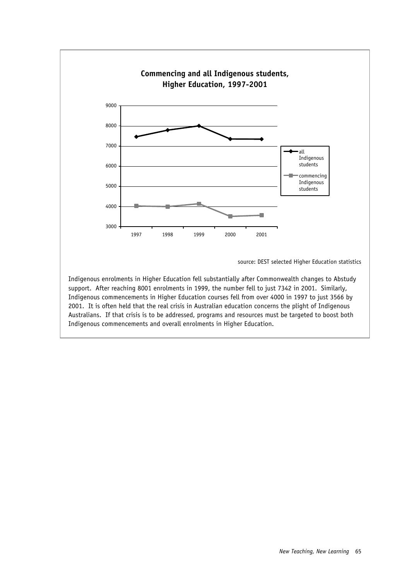

source: DEST selected Higher Education statistics

Indigenous enrolments in Higher Education fell substantially after Commonwealth changes to Abstudy support. After reaching 8001 enrolments in 1999, the number fell to just 7342 in 2001. Similarly, Indigenous commencements in Higher Education courses fell from over 4000 in 1997 to just 3566 by 2001. It is often held that the real crisis in Australian education concerns the plight of Indigenous Australians. If that crisis is to be addressed, programs and resources must be targeted to boost both Indigenous commencements and overall enrolments in Higher Education.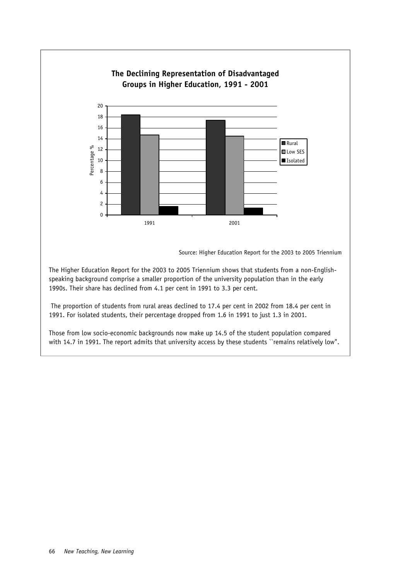

speaking background comprise a smaller proportion of the university population than in the early 1990s. Their share has declined from 4.1 per cent in 1991 to 3.3 per cent.

 The proportion of students from rural areas declined to 17.4 per cent in 2002 from 18.4 per cent in 1991. For isolated students, their percentage dropped from 1.6 in 1991 to just 1.3 in 2001.

Those from low socio-economic backgrounds now make up 14.5 of the student population compared with 14.7 in 1991. The report admits that university access by these students "remains relatively low".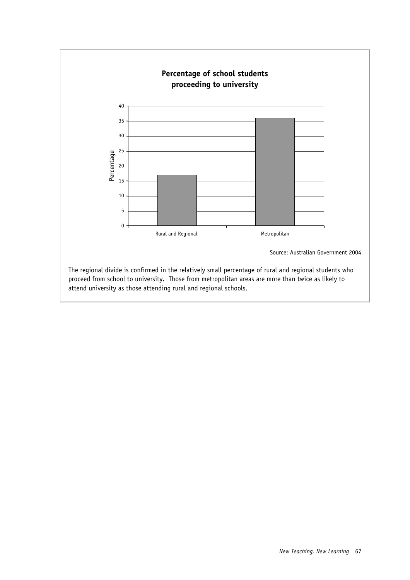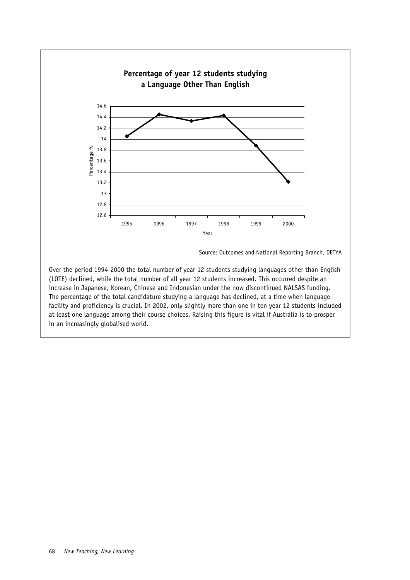

Source: Outcomes and National Reporting Branch, DETYA

Over the period 1994-2000 the total number of year 12 students studying languages other than English (LOTE) declined, while the total number of all year 12 students increased. This occurred despite an increase in Japanese, Korean, Chinese and Indonesian under the now discontinued NALSAS funding. The percentage of the total candidature studying a language has declined, at a time when language facility and proficiency is crucial. In 2002, only slightly more than one in ten year 12 students included at least one language among their course choices. Raising this figure is vital if Australia is to prosper in an increasingly globalised world.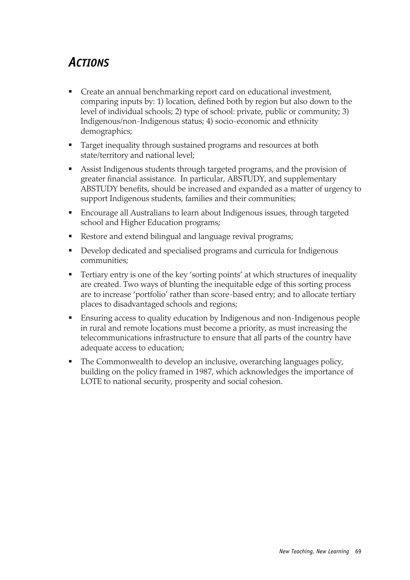### *ACTIONS*

- Create an annual benchmarking report card on educational investment, comparing inputs by: 1) location, defined both by region but also down to the level of individual schools; 2) type of school: private, public or community; 3) Indigenous/non-Indigenous status; 4) socio-economic and ethnicity demographics;
- Target inequality through sustained programs and resources at both state/territory and national level;
- Assist Indigenous students through targeted programs, and the provision of greater financial assistance. In particular, ABSTUDY, and supplementary ABSTUDY benefits, should be increased and expanded as a matter of urgency to support Indigenous students, families and their communities;
- Encourage all Australians to learn about Indigenous issues, through targeted school and Higher Education programs;
- Restore and extend bilingual and language revival programs;
- Develop dedicated and specialised programs and curricula for Indigenous communities;
- Tertiary entry is one of the key 'sorting points' at which structures of inequality are created. Two ways of blunting the inequitable edge of this sorting process are to increase 'portfolio' rather than score-based entry; and to allocate tertiary places to disadvantaged schools and regions;
- Ensuring access to quality education by Indigenous and non-Indigenous people in rural and remote locations must become a priority, as must increasing the telecommunications infrastructure to ensure that all parts of the country have adequate access to education;
- The Commonwealth to develop an inclusive, overarching languages policy, building on the policy framed in 1987, which acknowledges the importance of LOTE to national security, prosperity and social cohesion.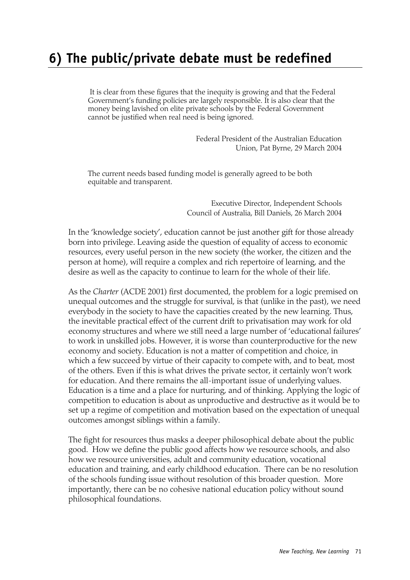## **6) The public/private debate must be redefined**

 It is clear from these figures that the inequity is growing and that the Federal Government's funding policies are largely responsible. It is also clear that the money being lavished on elite private schools by the Federal Government cannot be justified when real need is being ignored.

> Federal President of the Australian Education Union, Pat Byrne, 29 March 2004

The current needs based funding model is generally agreed to be both equitable and transparent.

> Executive Director, Independent Schools Council of Australia, Bill Daniels, 26 March 2004

In the 'knowledge society', education cannot be just another gift for those already born into privilege. Leaving aside the question of equality of access to economic resources, every useful person in the new society (the worker, the citizen and the person at home), will require a complex and rich repertoire of learning, and the desire as well as the capacity to continue to learn for the whole of their life.

As the *Charter* (ACDE 2001) first documented, the problem for a logic premised on unequal outcomes and the struggle for survival, is that (unlike in the past), we need everybody in the society to have the capacities created by the new learning. Thus, the inevitable practical effect of the current drift to privatisation may work for old economy structures and where we still need a large number of 'educational failures' to work in unskilled jobs. However, it is worse than counterproductive for the new economy and society. Education is not a matter of competition and choice, in which a few succeed by virtue of their capacity to compete with, and to beat, most of the others. Even if this is what drives the private sector, it certainly won't work for education. And there remains the all-important issue of underlying values. Education is a time and a place for nurturing, and of thinking. Applying the logic of competition to education is about as unproductive and destructive as it would be to set up a regime of competition and motivation based on the expectation of unequal outcomes amongst siblings within a family.

The fight for resources thus masks a deeper philosophical debate about the public good. How we define the public good affects how we resource schools, and also how we resource universities, adult and community education, vocational education and training, and early childhood education. There can be no resolution of the schools funding issue without resolution of this broader question. More importantly, there can be no cohesive national education policy without sound philosophical foundations.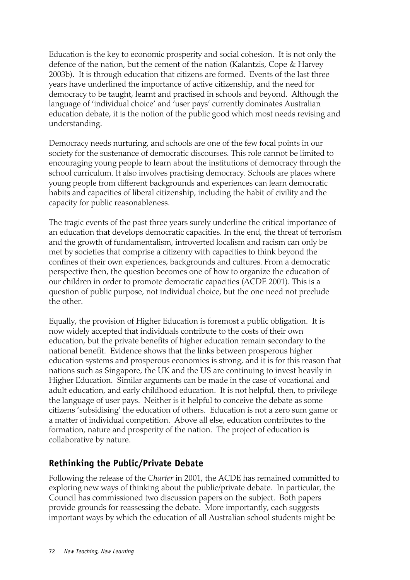Education is the key to economic prosperity and social cohesion. It is not only the defence of the nation, but the cement of the nation (Kalantzis, Cope & Harvey 2003b). It is through education that citizens are formed. Events of the last three years have underlined the importance of active citizenship, and the need for democracy to be taught, learnt and practised in schools and beyond. Although the language of 'individual choice' and 'user pays' currently dominates Australian education debate, it is the notion of the public good which most needs revising and understanding.

Democracy needs nurturing, and schools are one of the few focal points in our society for the sustenance of democratic discourses. This role cannot be limited to encouraging young people to learn about the institutions of democracy through the school curriculum. It also involves practising democracy. Schools are places where young people from different backgrounds and experiences can learn democratic habits and capacities of liberal citizenship, including the habit of civility and the capacity for public reasonableness.

The tragic events of the past three years surely underline the critical importance of an education that develops democratic capacities. In the end, the threat of terrorism and the growth of fundamentalism, introverted localism and racism can only be met by societies that comprise a citizenry with capacities to think beyond the confines of their own experiences, backgrounds and cultures. From a democratic perspective then, the question becomes one of how to organize the education of our children in order to promote democratic capacities (ACDE 2001). This is a question of public purpose, not individual choice, but the one need not preclude the other.

Equally, the provision of Higher Education is foremost a public obligation. It is now widely accepted that individuals contribute to the costs of their own education, but the private benefits of higher education remain secondary to the national benefit. Evidence shows that the links between prosperous higher education systems and prosperous economies is strong, and it is for this reason that nations such as Singapore, the UK and the US are continuing to invest heavily in Higher Education. Similar arguments can be made in the case of vocational and adult education, and early childhood education. It is not helpful, then, to privilege the language of user pays. Neither is it helpful to conceive the debate as some citizens 'subsidising' the education of others. Education is not a zero sum game or a matter of individual competition. Above all else, education contributes to the formation, nature and prosperity of the nation. The project of education is collaborative by nature.

#### **Rethinking the Public/Private Debate**

Following the release of the *Charter* in 2001, the ACDE has remained committed to exploring new ways of thinking about the public/private debate. In particular, the Council has commissioned two discussion papers on the subject. Both papers provide grounds for reassessing the debate. More importantly, each suggests important ways by which the education of all Australian school students might be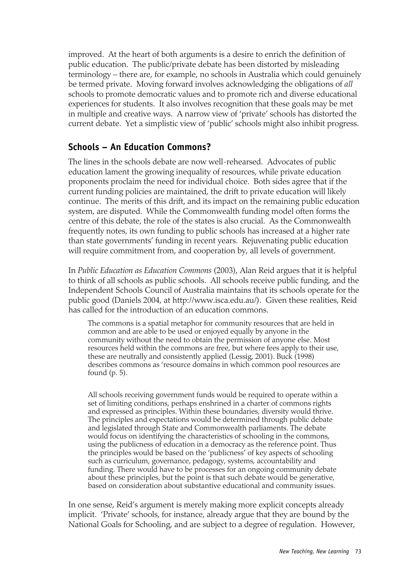improved. At the heart of both arguments is a desire to enrich the definition of public education. The public/private debate has been distorted by misleading terminology – there are, for example, no schools in Australia which could genuinely be termed private. Moving forward involves acknowledging the obligations of *all* schools to promote democratic values and to promote rich and diverse educational experiences for students. It also involves recognition that these goals may be met in multiple and creative ways. A narrow view of 'private' schools has distorted the current debate. Yet a simplistic view of 'public' schools might also inhibit progress.

#### **Schools – An Education Commons?**

The lines in the schools debate are now well-rehearsed. Advocates of public education lament the growing inequality of resources, while private education proponents proclaim the need for individual choice. Both sides agree that if the current funding policies are maintained, the drift to private education will likely continue. The merits of this drift, and its impact on the remaining public education system, are disputed. While the Commonwealth funding model often forms the centre of this debate, the role of the states is also crucial. As the Commonwealth frequently notes, its own funding to public schools has increased at a higher rate than state governments' funding in recent years. Rejuvenating public education will require commitment from, and cooperation by, all levels of government.

In *Public Education as Education Commons* (2003), Alan Reid argues that it is helpful to think of all schools as public schools. All schools receive public funding, and the Independent Schools Council of Australia maintains that its schools operate for the public good (Daniels 2004, at http://www.isca.edu.au/). Given these realities, Reid has called for the introduction of an education commons.

The commons is a spatial metaphor for community resources that are held in common and are able to be used or enjoyed equally by anyone in the community without the need to obtain the permission of anyone else. Most resources held within the commons are free, but where fees apply to their use, these are neutrally and consistently applied (Lessig, 2001). Buck (1998) describes commons as 'resource domains in which common pool resources are found (p. 5).

All schools receiving government funds would be required to operate within a set of limiting conditions, perhaps enshrined in a charter of commons rights and expressed as principles. Within these boundaries, diversity would thrive. The principles and expectations would be determined through public debate and legislated through State and Commonwealth parliaments. The debate would focus on identifying the characteristics of schooling in the commons, using the publicness of education in a democracy as the reference point. Thus the principles would be based on the 'publicness' of key aspects of schooling such as curriculum, governance, pedagogy, systems, accountability and funding. There would have to be processes for an ongoing community debate about these principles, but the point is that such debate would be generative, based on consideration about substantive educational and community issues.

In one sense, Reid's argument is merely making more explicit concepts already implicit. 'Private' schools, for instance, already argue that they are bound by the National Goals for Schooling, and are subject to a degree of regulation. However,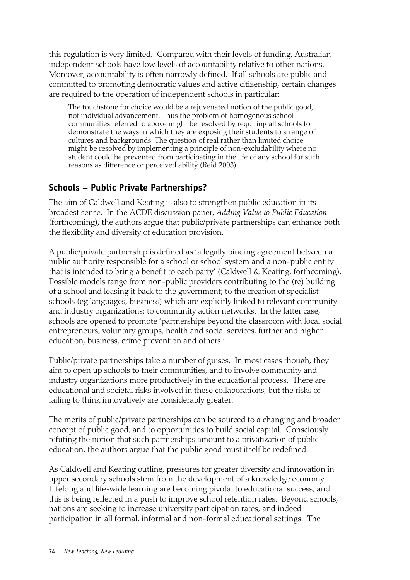this regulation is very limited. Compared with their levels of funding, Australian independent schools have low levels of accountability relative to other nations. Moreover, accountability is often narrowly defined. If all schools are public and committed to promoting democratic values and active citizenship, certain changes are required to the operation of independent schools in particular:

The touchstone for choice would be a rejuvenated notion of the public good, not individual advancement. Thus the problem of homogenous school communities referred to above might be resolved by requiring all schools to demonstrate the ways in which they are exposing their students to a range of cultures and backgrounds. The question of real rather than limited choice might be resolved by implementing a principle of non-excludability where no student could be prevented from participating in the life of any school for such reasons as difference or perceived ability (Reid 2003).

#### **Schools – Public Private Partnerships?**

The aim of Caldwell and Keating is also to strengthen public education in its broadest sense. In the ACDE discussion paper, *Adding Value to Public Education* (forthcoming), the authors argue that public/private partnerships can enhance both the flexibility and diversity of education provision.

A public/private partnership is defined as 'a legally binding agreement between a public authority responsible for a school or school system and a non-public entity that is intended to bring a benefit to each party' (Caldwell & Keating, forthcoming). Possible models range from non-public providers contributing to the (re) building of a school and leasing it back to the government; to the creation of specialist schools (eg languages, business) which are explicitly linked to relevant community and industry organizations; to community action networks. In the latter case, schools are opened to promote 'partnerships beyond the classroom with local social entrepreneurs, voluntary groups, health and social services, further and higher education, business, crime prevention and others.'

Public/private partnerships take a number of guises. In most cases though, they aim to open up schools to their communities, and to involve community and industry organizations more productively in the educational process. There are educational and societal risks involved in these collaborations, but the risks of failing to think innovatively are considerably greater.

The merits of public/private partnerships can be sourced to a changing and broader concept of public good, and to opportunities to build social capital. Consciously refuting the notion that such partnerships amount to a privatization of public education, the authors argue that the public good must itself be redefined.

As Caldwell and Keating outline, pressures for greater diversity and innovation in upper secondary schools stem from the development of a knowledge economy. Lifelong and life-wide learning are becoming pivotal to educational success, and this is being reflected in a push to improve school retention rates. Beyond schools, nations are seeking to increase university participation rates, and indeed participation in all formal, informal and non-formal educational settings. The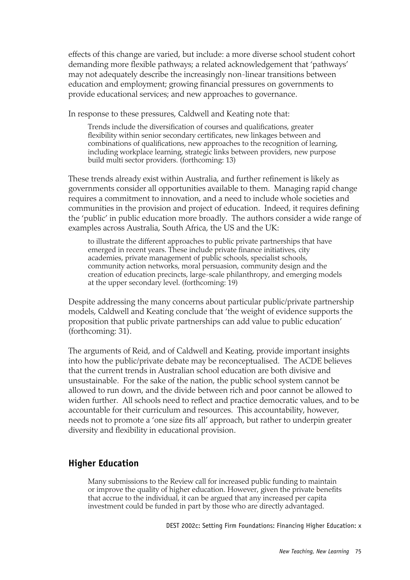effects of this change are varied, but include: a more diverse school student cohort demanding more flexible pathways; a related acknowledgement that 'pathways' may not adequately describe the increasingly non-linear transitions between education and employment; growing financial pressures on governments to provide educational services; and new approaches to governance.

In response to these pressures, Caldwell and Keating note that:

Trends include the diversification of courses and qualifications, greater flexibility within senior secondary certificates, new linkages between and combinations of qualifications, new approaches to the recognition of learning, including workplace learning, strategic links between providers, new purpose build multi sector providers. (forthcoming: 13)

These trends already exist within Australia, and further refinement is likely as governments consider all opportunities available to them. Managing rapid change requires a commitment to innovation, and a need to include whole societies and communities in the provision and project of education. Indeed, it requires defining the 'public' in public education more broadly. The authors consider a wide range of examples across Australia, South Africa, the US and the UK:

to illustrate the different approaches to public private partnerships that have emerged in recent years. These include private finance initiatives, city academies, private management of public schools, specialist schools, community action networks, moral persuasion, community design and the creation of education precincts, large-scale philanthropy, and emerging models at the upper secondary level. (forthcoming: 19)

Despite addressing the many concerns about particular public/private partnership models, Caldwell and Keating conclude that 'the weight of evidence supports the proposition that public private partnerships can add value to public education' (forthcoming: 31).

The arguments of Reid, and of Caldwell and Keating, provide important insights into how the public/private debate may be reconceptualised. The ACDE believes that the current trends in Australian school education are both divisive and unsustainable. For the sake of the nation, the public school system cannot be allowed to run down, and the divide between rich and poor cannot be allowed to widen further. All schools need to reflect and practice democratic values, and to be accountable for their curriculum and resources. This accountability, however, needs not to promote a 'one size fits all' approach, but rather to underpin greater diversity and flexibility in educational provision.

#### **Higher Education**

Many submissions to the Review call for increased public funding to maintain or improve the quality of higher education. However, given the private benefits that accrue to the individual, it can be argued that any increased per capita investment could be funded in part by those who are directly advantaged.

DEST 2002c: Setting Firm Foundations: Financing Higher Education: x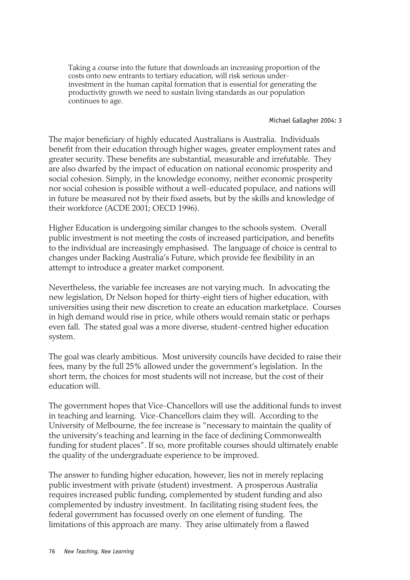Taking a course into the future that downloads an increasing proportion of the costs onto new entrants to tertiary education, will risk serious underinvestment in the human capital formation that is essential for generating the productivity growth we need to sustain living standards as our population continues to age.

#### Michael Gallagher 2004: 3

The major beneficiary of highly educated Australians is Australia. Individuals benefit from their education through higher wages, greater employment rates and greater security. These benefits are substantial, measurable and irrefutable. They are also dwarfed by the impact of education on national economic prosperity and social cohesion. Simply, in the knowledge economy, neither economic prosperity nor social cohesion is possible without a well-educated populace, and nations will in future be measured not by their fixed assets, but by the skills and knowledge of their workforce (ACDE 2001; OECD 1996).

Higher Education is undergoing similar changes to the schools system. Overall public investment is not meeting the costs of increased participation, and benefits to the individual are increasingly emphasised. The language of choice is central to changes under Backing Australia's Future, which provide fee flexibility in an attempt to introduce a greater market component.

Nevertheless, the variable fee increases are not varying much. In advocating the new legislation, Dr Nelson hoped for thirty-eight tiers of higher education, with universities using their new discretion to create an education marketplace. Courses in high demand would rise in price, while others would remain static or perhaps even fall. The stated goal was a more diverse, student-centred higher education system.

The goal was clearly ambitious. Most university councils have decided to raise their fees, many by the full 25% allowed under the government's legislation. In the short term, the choices for most students will not increase, but the cost of their education will.

The government hopes that Vice-Chancellors will use the additional funds to invest in teaching and learning. Vice-Chancellors claim they will. According to the University of Melbourne, the fee increase is "necessary to maintain the quality of the university's teaching and learning in the face of declining Commonwealth funding for student places". If so, more profitable courses should ultimately enable the quality of the undergraduate experience to be improved.

The answer to funding higher education, however, lies not in merely replacing public investment with private (student) investment. A prosperous Australia requires increased public funding, complemented by student funding and also complemented by industry investment. In facilitating rising student fees, the federal government has focussed overly on one element of funding. The limitations of this approach are many. They arise ultimately from a flawed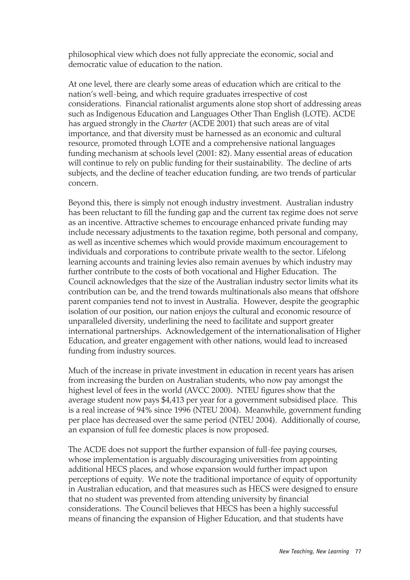philosophical view which does not fully appreciate the economic, social and democratic value of education to the nation.

At one level, there are clearly some areas of education which are critical to the nation's well-being, and which require graduates irrespective of cost considerations. Financial rationalist arguments alone stop short of addressing areas such as Indigenous Education and Languages Other Than English (LOTE). ACDE has argued strongly in the *Charter* (ACDE 2001) that such areas are of vital importance, and that diversity must be harnessed as an economic and cultural resource, promoted through LOTE and a comprehensive national languages funding mechanism at schools level (2001: 82). Many essential areas of education will continue to rely on public funding for their sustainability. The decline of arts subjects, and the decline of teacher education funding, are two trends of particular concern.

Beyond this, there is simply not enough industry investment. Australian industry has been reluctant to fill the funding gap and the current tax regime does not serve as an incentive. Attractive schemes to encourage enhanced private funding may include necessary adjustments to the taxation regime, both personal and company, as well as incentive schemes which would provide maximum encouragement to individuals and corporations to contribute private wealth to the sector. Lifelong learning accounts and training levies also remain avenues by which industry may further contribute to the costs of both vocational and Higher Education. The Council acknowledges that the size of the Australian industry sector limits what its contribution can be, and the trend towards multinationals also means that offshore parent companies tend not to invest in Australia. However, despite the geographic isolation of our position, our nation enjoys the cultural and economic resource of unparalleled diversity, underlining the need to facilitate and support greater international partnerships. Acknowledgement of the internationalisation of Higher Education, and greater engagement with other nations, would lead to increased funding from industry sources.

Much of the increase in private investment in education in recent years has arisen from increasing the burden on Australian students, who now pay amongst the highest level of fees in the world (AVCC 2000). NTEU figures show that the average student now pays \$4,413 per year for a government subsidised place. This is a real increase of 94% since 1996 (NTEU 2004). Meanwhile, government funding per place has decreased over the same period (NTEU 2004). Additionally of course, an expansion of full fee domestic places is now proposed.

The ACDE does not support the further expansion of full-fee paying courses, whose implementation is arguably discouraging universities from appointing additional HECS places, and whose expansion would further impact upon perceptions of equity. We note the traditional importance of equity of opportunity in Australian education, and that measures such as HECS were designed to ensure that no student was prevented from attending university by financial considerations. The Council believes that HECS has been a highly successful means of financing the expansion of Higher Education, and that students have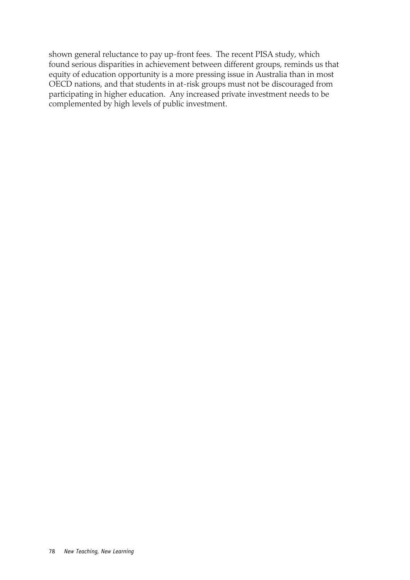shown general reluctance to pay up-front fees. The recent PISA study, which found serious disparities in achievement between different groups, reminds us that equity of education opportunity is a more pressing issue in Australia than in most OECD nations, and that students in at-risk groups must not be discouraged from participating in higher education. Any increased private investment needs to be complemented by high levels of public investment.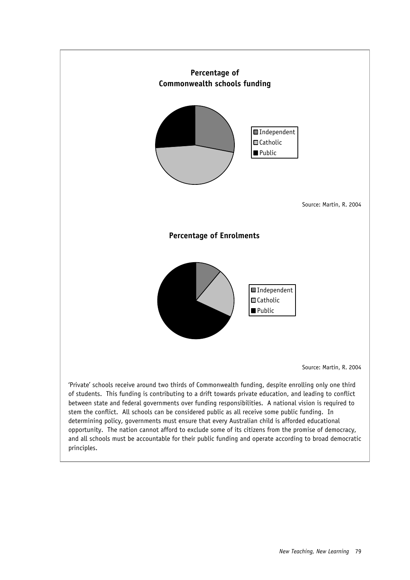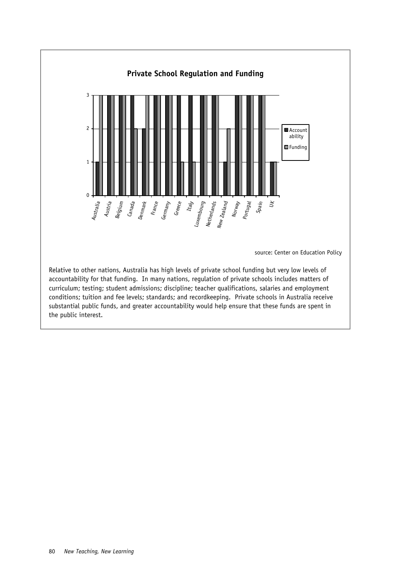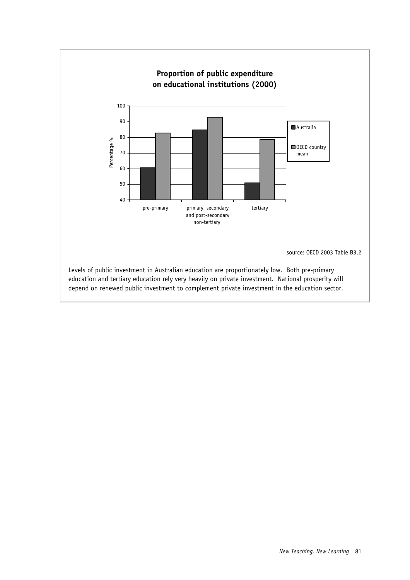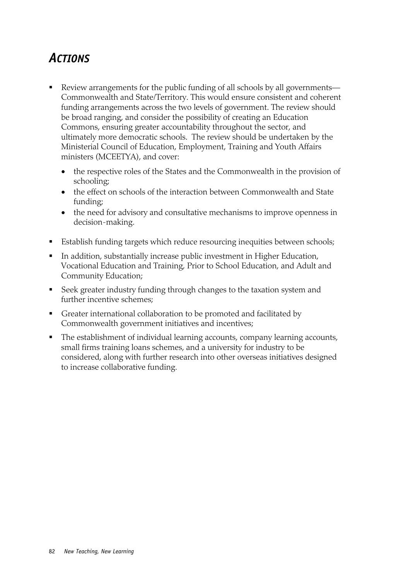### *ACTIONS*

- Review arrangements for the public funding of all schools by all governments— Commonwealth and State/Territory. This would ensure consistent and coherent funding arrangements across the two levels of government. The review should be broad ranging, and consider the possibility of creating an Education Commons, ensuring greater accountability throughout the sector, and ultimately more democratic schools. The review should be undertaken by the Ministerial Council of Education, Employment, Training and Youth Affairs ministers (MCEETYA), and cover:
	- the respective roles of the States and the Commonwealth in the provision of schooling;
	- the effect on schools of the interaction between Commonwealth and State funding;
	- the need for advisory and consultative mechanisms to improve openness in decision-making.
- Establish funding targets which reduce resourcing inequities between schools;
- In addition, substantially increase public investment in Higher Education, Vocational Education and Training, Prior to School Education, and Adult and Community Education;
- Seek greater industry funding through changes to the taxation system and further incentive schemes;
- Greater international collaboration to be promoted and facilitated by Commonwealth government initiatives and incentives;
- The establishment of individual learning accounts, company learning accounts, small firms training loans schemes, and a university for industry to be considered, along with further research into other overseas initiatives designed to increase collaborative funding.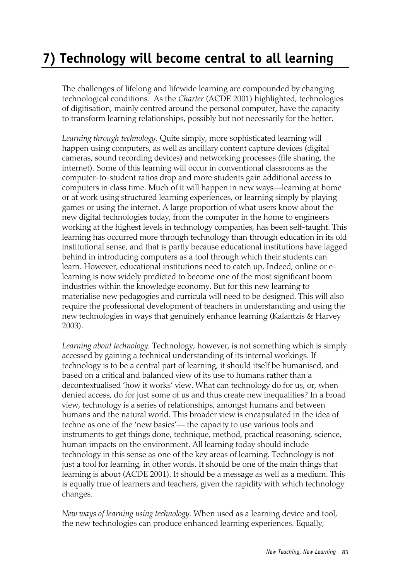# **7) Technology will become central to all learning**

The challenges of lifelong and lifewide learning are compounded by changing technological conditions. As the *Charter* (ACDE 2001) highlighted, technologies of digitisation, mainly centred around the personal computer, have the capacity to transform learning relationships, possibly but not necessarily for the better.

*Learning through technology.* Quite simply, more sophisticated learning will happen using computers, as well as ancillary content capture devices (digital cameras, sound recording devices) and networking processes (file sharing, the internet). Some of this learning will occur in conventional classrooms as the computer-to-student ratios drop and more students gain additional access to computers in class time. Much of it will happen in new ways—learning at home or at work using structured learning experiences, or learning simply by playing games or using the internet. A large proportion of what users know about the new digital technologies today, from the computer in the home to engineers working at the highest levels in technology companies, has been self-taught. This learning has occurred more through technology than through education in its old institutional sense, and that is partly because educational institutions have lagged behind in introducing computers as a tool through which their students can learn. However, educational institutions need to catch up. Indeed, online or elearning is now widely predicted to become one of the most significant boom industries within the knowledge economy. But for this new learning to materialise new pedagogies and curricula will need to be designed. This will also require the professional development of teachers in understanding and using the new technologies in ways that genuinely enhance learning (Kalantzis & Harvey 2003).

*Learning about technology.* Technology, however, is not something which is simply accessed by gaining a technical understanding of its internal workings. If technology is to be a central part of learning, it should itself be humanised, and based on a critical and balanced view of its use to humans rather than a decontextualised 'how it works' view. What can technology do for us, or, when denied access, do for just some of us and thus create new inequalities? In a broad view, technology is a series of relationships, amongst humans and between humans and the natural world. This broader view is encapsulated in the idea of techne as one of the 'new basics'— the capacity to use various tools and instruments to get things done, technique, method, practical reasoning, science, human impacts on the environment. All learning today should include technology in this sense as one of the key areas of learning. Technology is not just a tool for learning, in other words. It should be one of the main things that learning is about (ACDE 2001). It should be a message as well as a medium. This is equally true of learners and teachers, given the rapidity with which technology changes.

*New ways of learning using technology.* When used as a learning device and tool, the new technologies can produce enhanced learning experiences. Equally,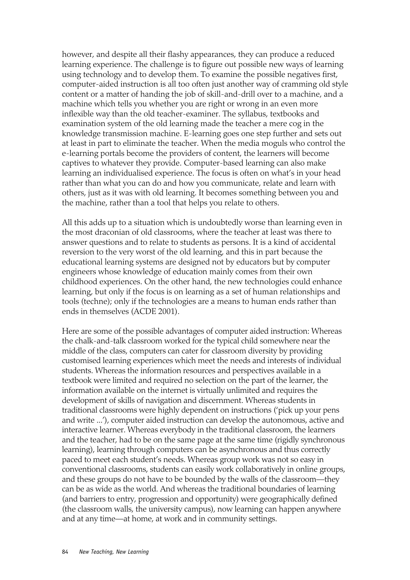however, and despite all their flashy appearances, they can produce a reduced learning experience. The challenge is to figure out possible new ways of learning using technology and to develop them. To examine the possible negatives first, computer-aided instruction is all too often just another way of cramming old style content or a matter of handing the job of skill-and-drill over to a machine, and a machine which tells you whether you are right or wrong in an even more inflexible way than the old teacher-examiner. The syllabus, textbooks and examination system of the old learning made the teacher a mere cog in the knowledge transmission machine. E-learning goes one step further and sets out at least in part to eliminate the teacher. When the media moguls who control the e-learning portals become the providers of content, the learners will become captives to whatever they provide. Computer-based learning can also make learning an individualised experience. The focus is often on what's in your head rather than what you can do and how you communicate, relate and learn with others, just as it was with old learning. It becomes something between you and the machine, rather than a tool that helps you relate to others.

All this adds up to a situation which is undoubtedly worse than learning even in the most draconian of old classrooms, where the teacher at least was there to answer questions and to relate to students as persons. It is a kind of accidental reversion to the very worst of the old learning, and this in part because the educational learning systems are designed not by educators but by computer engineers whose knowledge of education mainly comes from their own childhood experiences. On the other hand, the new technologies could enhance learning, but only if the focus is on learning as a set of human relationships and tools (techne); only if the technologies are a means to human ends rather than ends in themselves (ACDE 2001).

Here are some of the possible advantages of computer aided instruction: Whereas the chalk-and-talk classroom worked for the typical child somewhere near the middle of the class, computers can cater for classroom diversity by providing customised learning experiences which meet the needs and interests of individual students. Whereas the information resources and perspectives available in a textbook were limited and required no selection on the part of the learner, the information available on the internet is virtually unlimited and requires the development of skills of navigation and discernment. Whereas students in traditional classrooms were highly dependent on instructions ('pick up your pens and write ...'), computer aided instruction can develop the autonomous, active and interactive learner. Whereas everybody in the traditional classroom, the learners and the teacher, had to be on the same page at the same time (rigidly synchronous learning), learning through computers can be asynchronous and thus correctly paced to meet each student's needs. Whereas group work was not so easy in conventional classrooms, students can easily work collaboratively in online groups, and these groups do not have to be bounded by the walls of the classroom—they can be as wide as the world. And whereas the traditional boundaries of learning (and barriers to entry, progression and opportunity) were geographically defined (the classroom walls, the university campus), now learning can happen anywhere and at any time—at home, at work and in community settings.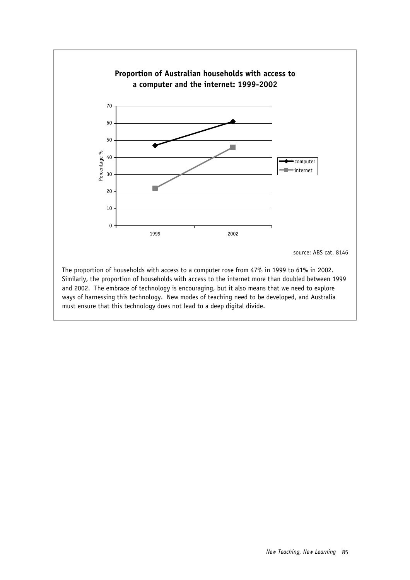

Similarly, the proportion of households with access to the internet more than doubled between 1999 and 2002. The embrace of technology is encouraging, but it also means that we need to explore ways of harnessing this technology. New modes of teaching need to be developed, and Australia must ensure that this technology does not lead to a deep digital divide.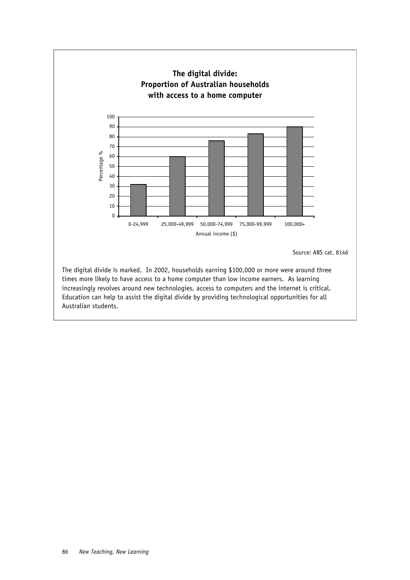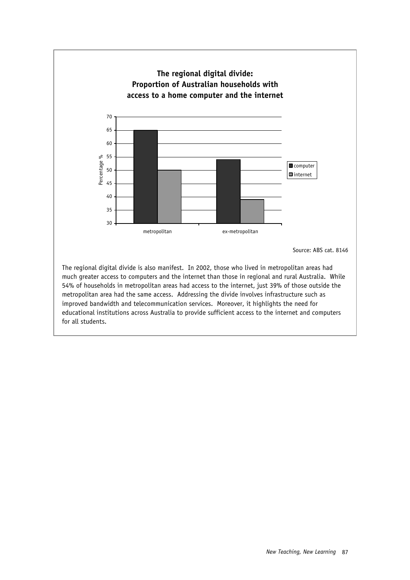

metropolitan area had the same access. Addressing the divide involves infrastructure such as improved bandwidth and telecommunication services. Moreover, it highlights the need for educational institutions across Australia to provide sufficient access to the internet and computers for all students.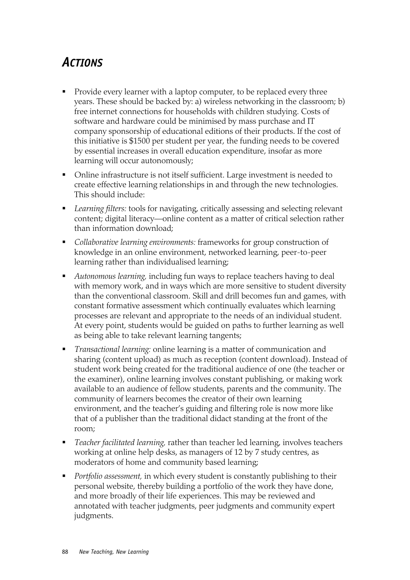#### *ACTIONS*

- **Provide every learner with a laptop computer, to be replaced every three** years. These should be backed by: a) wireless networking in the classroom; b) free internet connections for households with children studying. Costs of software and hardware could be minimised by mass purchase and IT company sponsorship of educational editions of their products. If the cost of this initiative is \$1500 per student per year, the funding needs to be covered by essential increases in overall education expenditure, insofar as more learning will occur autonomously;
- Online infrastructure is not itself sufficient. Large investment is needed to create effective learning relationships in and through the new technologies. This should include:
- *Learning filters:* tools for navigating, critically assessing and selecting relevant content; digital literacy—online content as a matter of critical selection rather than information download;
- *Collaborative learning environments:* frameworks for group construction of knowledge in an online environment, networked learning, peer-to-peer learning rather than individualised learning;
- *Autonomous learning,* including fun ways to replace teachers having to deal with memory work, and in ways which are more sensitive to student diversity than the conventional classroom. Skill and drill becomes fun and games, with constant formative assessment which continually evaluates which learning processes are relevant and appropriate to the needs of an individual student. At every point, students would be guided on paths to further learning as well as being able to take relevant learning tangents;
- *Transactional learning:* online learning is a matter of communication and sharing (content upload) as much as reception (content download). Instead of student work being created for the traditional audience of one (the teacher or the examiner), online learning involves constant publishing, or making work available to an audience of fellow students, parents and the community. The community of learners becomes the creator of their own learning environment, and the teacher's guiding and filtering role is now more like that of a publisher than the traditional didact standing at the front of the room;
- *Teacher facilitated learning,* rather than teacher led learning, involves teachers working at online help desks, as managers of 12 by 7 study centres, as moderators of home and community based learning;
- *Portfolio assessment,* in which every student is constantly publishing to their personal website, thereby building a portfolio of the work they have done, and more broadly of their life experiences. This may be reviewed and annotated with teacher judgments, peer judgments and community expert judgments.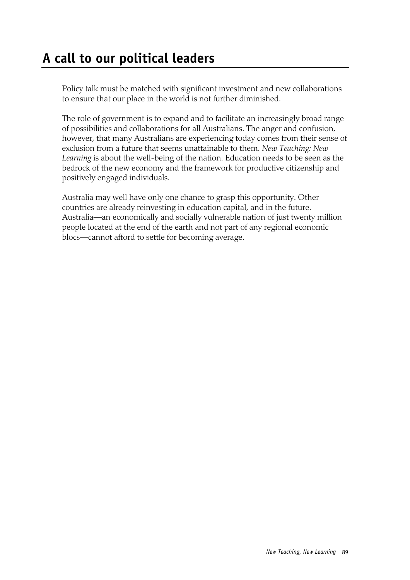Policy talk must be matched with significant investment and new collaborations to ensure that our place in the world is not further diminished.

The role of government is to expand and to facilitate an increasingly broad range of possibilities and collaborations for all Australians. The anger and confusion, however, that many Australians are experiencing today comes from their sense of exclusion from a future that seems unattainable to them. *New Teaching: New Learning* is about the well-being of the nation. Education needs to be seen as the bedrock of the new economy and the framework for productive citizenship and positively engaged individuals.

Australia may well have only one chance to grasp this opportunity. Other countries are already reinvesting in education capital, and in the future. Australia—an economically and socially vulnerable nation of just twenty million people located at the end of the earth and not part of any regional economic blocs—cannot afford to settle for becoming average.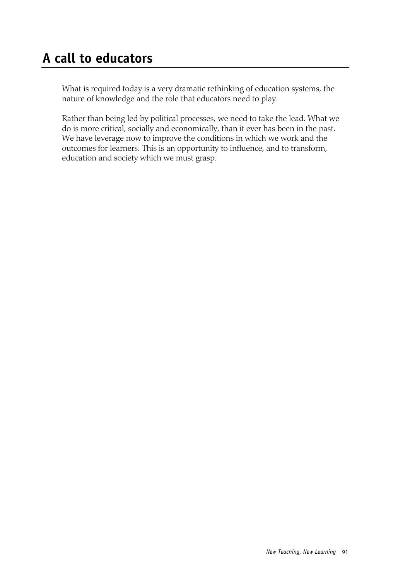# **A call to educators**

What is required today is a very dramatic rethinking of education systems, the nature of knowledge and the role that educators need to play.

Rather than being led by political processes, we need to take the lead. What we do is more critical, socially and economically, than it ever has been in the past. We have leverage now to improve the conditions in which we work and the outcomes for learners. This is an opportunity to influence, and to transform, education and society which we must grasp.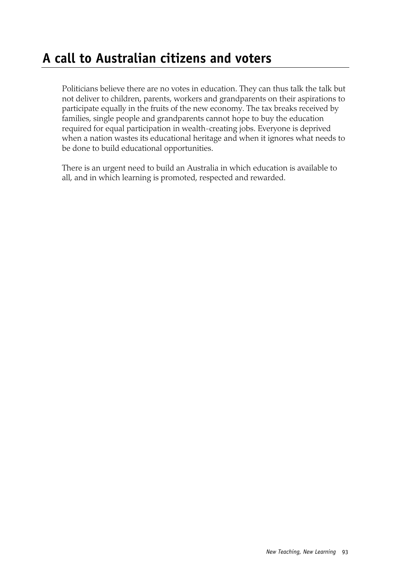### **A call to Australian citizens and voters**

Politicians believe there are no votes in education. They can thus talk the talk but not deliver to children, parents, workers and grandparents on their aspirations to participate equally in the fruits of the new economy. The tax breaks received by families, single people and grandparents cannot hope to buy the education required for equal participation in wealth-creating jobs. Everyone is deprived when a nation wastes its educational heritage and when it ignores what needs to be done to build educational opportunities.

There is an urgent need to build an Australia in which education is available to all, and in which learning is promoted, respected and rewarded.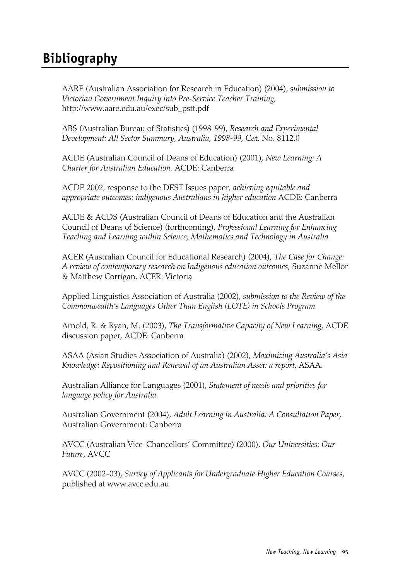### **Bibliography**

AARE (Australian Association for Research in Education) (2004), *submission to Victorian Government Inquiry into Pre-Service Teacher Training*, http://www.aare.edu.au/exec/sub\_pstt.pdf

ABS (Australian Bureau of Statistics) (1998-99), *Research and Experimental Development: All Sector Summary, Australia, 1998-99*, Cat. No. 8112.0

ACDE (Australian Council of Deans of Education) (2001), *New Learning: A Charter for Australian Education.* ACDE: Canberra

ACDE 2002, response to the DEST Issues paper, *achieving equitable and appropriate outcomes: indigenous Australians in higher education* ACDE: Canberra

ACDE & ACDS (Australian Council of Deans of Education and the Australian Council of Deans of Science) (forthcoming), *Professional Learning for Enhancing Teaching and Learning within Science, Mathematics and Technology in Australia*

ACER (Australian Council for Educational Research) (2004), *The Case for Change: A review of contemporary research on Indigenous education outcomes*, Suzanne Mellor & Matthew Corrigan, ACER: Victoria

Applied Linguistics Association of Australia (2002), *submission to the Review of the Commonwealth's Languages Other Than English (LOTE) in Schools Program*

Arnold, R. & Ryan, M. (2003), *The Transformative Capacity of New Learning*, ACDE discussion paper, ACDE: Canberra

ASAA (Asian Studies Association of Australia) (2002), *Maximizing Australia's Asia Knowledge: Repositioning and Renewal of an Australian Asset: a report*, ASAA.

Australian Alliance for Languages (2001), *Statement of needs and priorities for language policy for Australia*

Australian Government (2004), *Adult Learning in Australia: A Consultation Paper*, Australian Government: Canberra

AVCC (Australian Vice-Chancellors' Committee) (2000), *Our Universities: Our Future*, AVCC

AVCC (2002-03), *Survey of Applicants for Undergraduate Higher Education Courses*, published at www.avcc.edu.au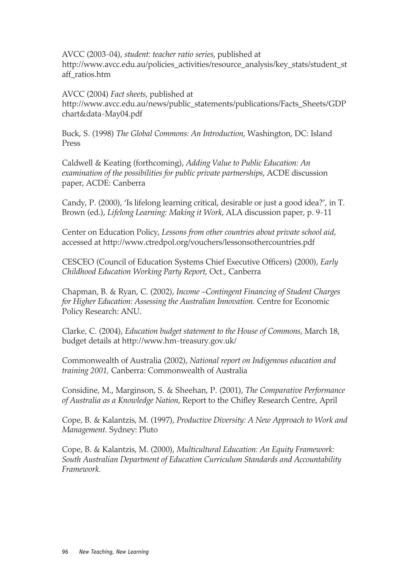AVCC (2003-04), *student: teacher ratio series*, published at http://www.avcc.edu.au/policies\_activities/resource\_analysis/key\_stats/student\_st aff\_ratios.htm

AVCC (2004) *Fact sheets*, published at http://www.avcc.edu.au/news/public\_statements/publications/Facts\_Sheets/GDP chart&data-May04.pdf

Buck, S. (1998) *The Global Commons: An Introduction*, Washington, DC: Island Press

Caldwell & Keating (forthcoming), *Adding Value to Public Education: An examination of the possibilities for public private partnerships*, ACDE discussion paper, ACDE: Canberra

Candy, P. (2000), 'Is lifelong learning critical, desirable or just a good idea?', in T. Brown (ed.), *Lifelong Learning: Making it Work*, ALA discussion paper, p. 9-11

Center on Education Policy, *Lessons from other countries about private school aid*, accessed at http://www.ctredpol.org/vouchers/lessonsothercountries.pdf

CESCEO (Council of Education Systems Chief Executive Officers) (2000), *Early Childhood Education Working Party Report*, Oct., Canberra

Chapman, B. & Ryan, C. (2002), *Income –Contingent Financing of Student Charges for Higher Education: Assessing the Australian Innovation.* Centre for Economic Policy Research: ANU.

Clarke, C. (2004), *Education budget statement to the House of Commons*, March 18, budget details at http://www.hm-treasury.gov.uk/

Commonwealth of Australia (2002), *National report on Indigenous education and training 2001,* Canberra: Commonwealth of Australia

Considine, M., Marginson, S. & Sheehan, P. (2001), *The Comparative Performance of Australia as a Knowledge Nation*, Report to the Chifley Research Centre, April

Cope, B. & Kalantzis, M. (1997), *Productive Diversity: A New Approach to Work and Management*. Sydney: Pluto

Cope, B. & Kalantzis, M. (2000), *Multicultural Education: An Equity Framework: South Australian Department of Education Curriculum Standards and Accountability Framework.*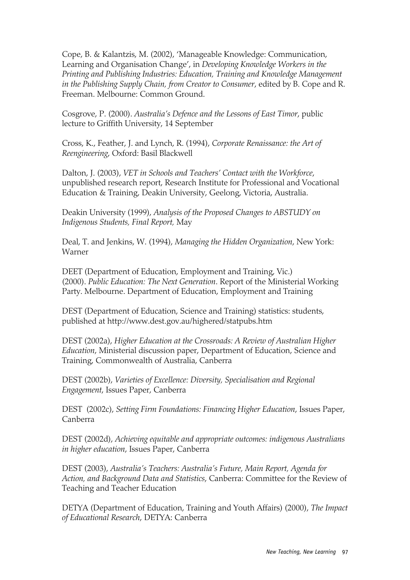Cope, B. & Kalantzis, M. (2002), 'Manageable Knowledge: Communication, Learning and Organisation Change', in *Developing Knowledge Workers in the Printing and Publishing Industries: Education, Training and Knowledge Management in the Publishing Supply Chain, from Creator to Consumer*, edited by B. Cope and R. Freeman. Melbourne: Common Ground.

Cosgrove, P. (2000). *Australia's Defence and the Lessons of East Timor*, public lecture to Griffith University, 14 September

Cross, K., Feather, J. and Lynch, R. (1994), *Corporate Renaissance: the Art of Reengineering*, Oxford: Basil Blackwell

Dalton, J. (2003), *VET in Schools and Teachers' Contact with the Workforce*, unpublished research report, Research Institute for Professional and Vocational Education & Training, Deakin University, Geelong, Victoria, Australia.

Deakin University (1999), *Analysis of the Proposed Changes to ABSTUDY on Indigenous Students, Final Report,* May

Deal, T. and Jenkins, W. (1994), *Managing the Hidden Organization*, New York: Warner

DEET (Department of Education, Employment and Training, Vic.) (2000). *Public Education: The Next Generation*. Report of the Ministerial Working Party. Melbourne. Department of Education, Employment and Training

DEST (Department of Education, Science and Training) statistics: students, published at http://www.dest.gov.au/highered/statpubs.htm

DEST (2002a), *Higher Education at the Crossroads: A Review of Australian Higher Education*, Ministerial discussion paper, Department of Education, Science and Training, Commonwealth of Australia, Canberra

DEST (2002b), *Varieties of Excellence: Diversity, Specialisation and Regional Engagement*, Issues Paper, Canberra

DEST (2002c), *Setting Firm Foundations: Financing Higher Education*, Issues Paper, Canberra

DEST (2002d), *Achieving equitable and appropriate outcomes: indigenous Australians in higher education*, Issues Paper, Canberra

DEST (2003), *Australia's Teachers: Australia's Future, Main Report, Agenda for Action, and Background Data and Statistics*, Canberra: Committee for the Review of Teaching and Teacher Education

DETYA (Department of Education, Training and Youth Affairs) (2000), *The Impact of Educational Research*, DETYA: Canberra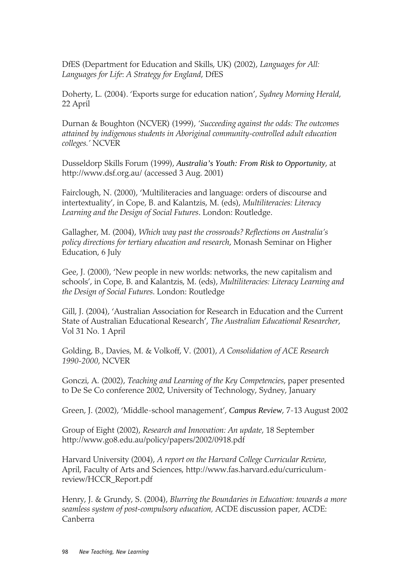DfES (Department for Education and Skills, UK) (2002), *Languages for All: Languages for Life*: *A Strategy for England*, DfES

Doherty, L. (2004). 'Exports surge for education nation', *Sydney Morning Herald*, 22 April

Durnan & Boughton (NCVER) (1999), *'Succeeding against the odds: The outcomes attained by indigenous students in Aboriginal community-controlled adult education colleges.'* NCVER

Dusseldorp Skills Forum (1999), *Australia's Youth: From Risk to Opportunity*, at http://www.dsf.org.au/ (accessed 3 Aug. 2001)

Fairclough, N. (2000), 'Multiliteracies and language: orders of discourse and intertextuality', in Cope, B. and Kalantzis, M. (eds), *Multiliteracies: Literacy Learning and the Design of Social Futures*. London: Routledge.

Gallagher, M. (2004), *Which way past the crossroads? Reflections on Australia's policy directions for tertiary education and research*, Monash Seminar on Higher Education, 6 July

Gee, J. (2000), 'New people in new worlds: networks, the new capitalism and schools', in Cope, B. and Kalantzis, M. (eds), *Multiliteracies: Literacy Learning and the Design of Social Futures*. London: Routledge

Gill, J. (2004), 'Australian Association for Research in Education and the Current State of Australian Educational Research', *The Australian Educational Researcher*, Vol 31 No. 1 April

Golding, B., Davies, M. & Volkoff, V. (2001), *A Consolidation of ACE Research 1990-2000*, NCVER

Gonczi, A. (2002), *Teaching and Learning of the Key Competencies*, paper presented to De Se Co conference 2002, University of Technology, Sydney, January

Green, J. (2002), 'Middle-school management', *Campus Review*, 7-13 August 2002

Group of Eight (2002), *Research and Innovation: An update*, 18 September http://www.go8.edu.au/policy/papers/2002/0918.pdf

Harvard University (2004), *A report on the Harvard College Curricular Review*, April, Faculty of Arts and Sciences, http://www.fas.harvard.edu/curriculumreview/HCCR\_Report.pdf

Henry, J. & Grundy, S. (2004), *Blurring the Boundaries in Education: towards a more seamless system of post-compulsory education,* ACDE discussion paper, ACDE: Canberra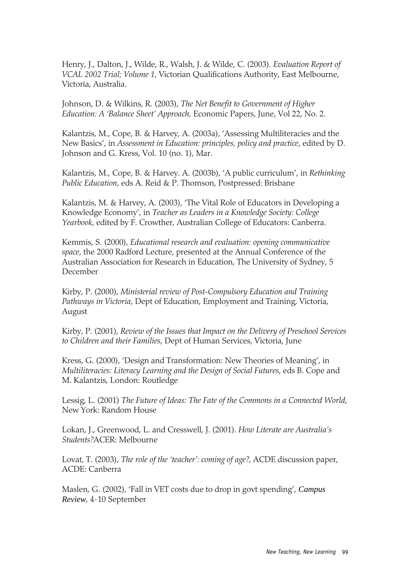Henry, J., Dalton, J., Wilde, R., Walsh, J. & Wilde, C. (2003). *Evaluation Report of VCAL 2002 Trial; Volume 1*, Victorian Qualifications Authority, East Melbourne, Victoria, Australia.

Johnson, D. & Wilkins, R. (2003), *The Net Benefit to Government of Higher Education: A 'Balance Sheet' Approach,* Economic Papers, June, Vol 22, No. 2.

Kalantzis, M., Cope, B. & Harvey, A. (2003a), 'Assessing Multiliteracies and the New Basics', in *Assessment in Education: principles, policy and practice*, edited by D. Johnson and G. Kress, Vol. 10 (no. 1), Mar.

Kalantzis, M., Cope, B. & Harvey. A. (2003b), 'A public curriculum', in *Rethinking Public Education*, eds A. Reid & P. Thomson, Postpressed: Brisbane

Kalantzis, M. & Harvey, A. (2003), 'The Vital Role of Educators in Developing a Knowledge Economy', in *Teacher as Leaders in a Knowledge Society: College Yearbook*, edited by F. Crowther, Australian College of Educators: Canberra.

Kemmis, S. (2000), *Educational research and evaluation: opening communicative space*, the 2000 Radford Lecture, presented at the Annual Conference of the Australian Association for Research in Education, The University of Sydney, 5 December

Kirby, P. (2000), *Ministerial review of Post-Compulsory Education and Training Pathways in Victoria*, Dept of Education, Employment and Training, Victoria, August

Kirby, P. (2001), *Review of the Issues that Impact on the Delivery of Preschool Services to Children and their Families*, Dept of Human Services, Victoria, June

Kress, G. (2000), 'Design and Transformation: New Theories of Meaning', in *Multiliteracies: Literacy Learning and the Design of Social Futures*, eds B. Cope and M. Kalantzis, London: Routledge

Lessig, L. (2001) *The Future of Ideas: The Fate of the Commons in a Connected World*, New York: Random House

Lokan, J., Greenwood, L. and Cresswell, J. (2001). *How Literate are Australia's Students?*ACER: Melbourne

Lovat, T. (2003), *The role of the 'teacher': coming of age?*, ACDE discussion paper, ACDE: Canberra

Maslen, G. (2002), 'Fall in VET costs due to drop in govt spending', *Campus Review*, 4-10 September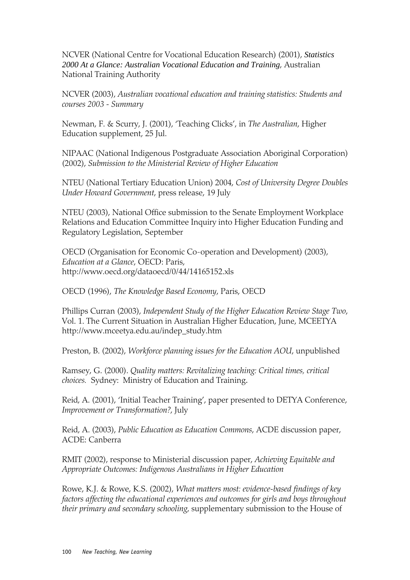NCVER (National Centre for Vocational Education Research) (2001), *Statistics 2000 At a Glance: Australian Vocational Education and Training*, Australian National Training Authority

NCVER (2003), *Australian vocational education and training statistics: Students and courses 2003 - Summary*

Newman, F. & Scurry, J. (2001), 'Teaching Clicks', in *The Australian*, Higher Education supplement, 25 Jul.

NIPAAC (National Indigenous Postgraduate Association Aboriginal Corporation) (2002), *Submission to the Ministerial Review of Higher Education*

NTEU (National Tertiary Education Union) 2004, *Cost of University Degree Doubles Under Howard Government*, press release, 19 July

NTEU (2003), National Office submission to the Senate Employment Workplace Relations and Education Committee Inquiry into Higher Education Funding and Regulatory Legislation, September

OECD (Organisation for Economic Co-operation and Development) (2003), *Education at a Glance*, OECD: Paris, http://www.oecd.org/dataoecd/0/44/14165152.xls

OECD (1996), *The Knowledge Based Economy*, Paris, OECD

Phillips Curran (2003), *Independent Study of the Higher Education Review Stage Two*, Vol. 1. The Current Situation in Australian Higher Education, June, MCEETYA http://www.mceetya.edu.au/indep\_study.htm

Preston, B. (2002), *Workforce planning issues for the Education AOU*, unpublished

Ramsey, G. (2000). *Quality matters: Revitalizing teaching: Critical times, critical choices.* Sydney: Ministry of Education and Training.

Reid, A. (2001), 'Initial Teacher Training', paper presented to DETYA Conference, *Improvement or Transformation?*, July

Reid, A. (2003), *Public Education as Education Commons*, ACDE discussion paper, ACDE: Canberra

RMIT (2002), response to Ministerial discussion paper, *Achieving Equitable and Appropriate Outcomes: Indigenous Australians in Higher Education*

Rowe, K.J. & Rowe, K.S. (2002), *What matters most: evidence-based findings of key factors affecting the educational experiences and outcomes for girls and boys throughout their primary and secondary schooling*, supplementary submission to the House of